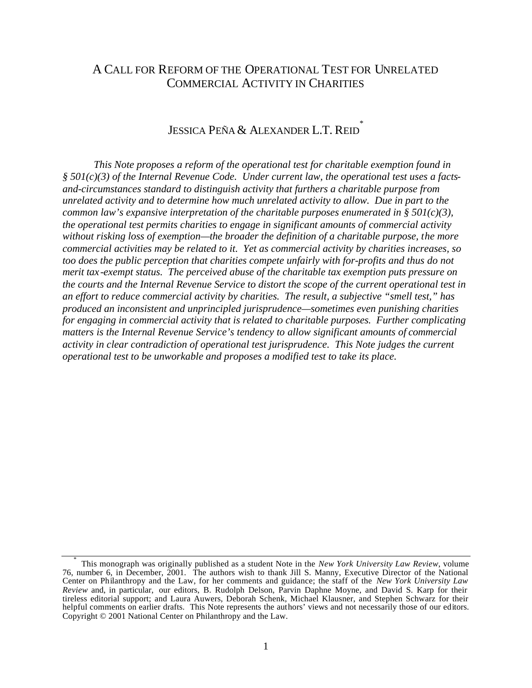## A CALL FOR REFORM OF THE OPERATIONAL TEST FOR UNRELATED COMMERCIAL ACTIVITY IN CHARITIES

# Jessica Peña & Alexander L.T. Reid $\overline{\phantom{a}}$

*This Note proposes a reform of the operational test for charitable exemption found in § 501(c)(3) of the Internal Revenue Code. Under current law, the operational test uses a factsand-circumstances standard to distinguish activity that furthers a charitable purpose from unrelated activity and to determine how much unrelated activity to allow. Due in part to the common law's expansive interpretation of the charitable purposes enumerated in § 501(c)(3), the operational test permits charities to engage in significant amounts of commercial activity without risking loss of exemption—the broader the definition of a charitable purpose, the more commercial activities may be related to it. Yet as commercial activity by charities increases, so too does the public perception that charities compete unfairly with for-profits and thus do not merit tax -exempt status. The perceived abuse of the charitable tax exemption puts pressure on the courts and the Internal Revenue Service to distort the scope of the current operational test in an effort to reduce commercial activity by charities. The result, a subjective "smell test," has produced an inconsistent and unprincipled jurisprudence—sometimes even punishing charities for engaging in commercial activity that is related to charitable purposes. Further complicating matters is the Internal Revenue Service's tendency to allow significant amounts of commercial activity in clear contradiction of operational test jurisprudence. This Note judges the current operational test to be unworkable and proposes a modified test to take its place.*

<sup>\*</sup> This monograph was originally published as a student Note in the *New York University Law Review*, volume 76, number 6, in December, 2001. The authors wish to thank Jill S. Manny, Executive Director of the National Center on Philanthropy and the Law, for her comments and guidance; the staff of the *New York University Law Review* and, in particular, our editors, B. Rudolph Delson, Parvin Daphne Moyne, and David S. Karp for their tireless editorial support; and Laura Auwers, Deborah Schenk, Michael Klausner, and Stephen Schwarz for their helpful comments on earlier drafts. This Note represents the authors' views and not necessarily those of our editors. Copyright © 2001 National Center on Philanthropy and the Law.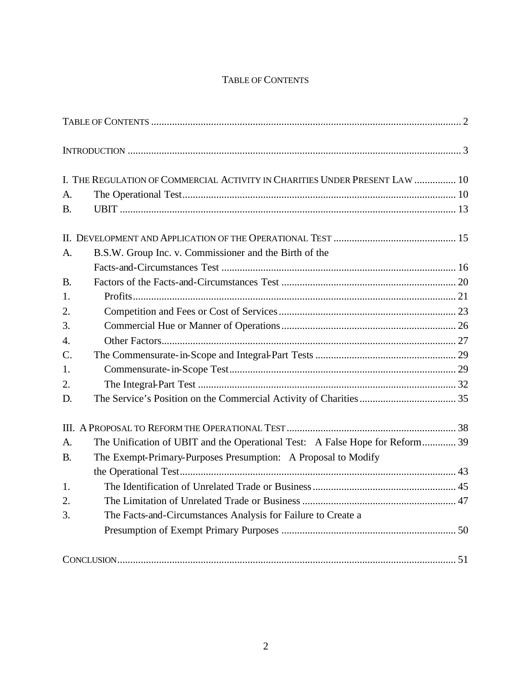## TABLE OF CONTENTS

|                  | I. THE REGULATION OF COMMERCIAL ACTIVITY IN CHARITIES UNDER PRESENT LAW  10  |  |
|------------------|------------------------------------------------------------------------------|--|
| A.               |                                                                              |  |
| <b>B.</b>        |                                                                              |  |
|                  |                                                                              |  |
| A.               | B.S.W. Group Inc. v. Commissioner and the Birth of the                       |  |
|                  |                                                                              |  |
| <b>B.</b>        |                                                                              |  |
| 1.               |                                                                              |  |
| 2.               |                                                                              |  |
| 3.               |                                                                              |  |
| $\overline{4}$ . |                                                                              |  |
| $\mathcal{C}$ .  |                                                                              |  |
| 1.               |                                                                              |  |
| 2.               |                                                                              |  |
| D.               |                                                                              |  |
|                  |                                                                              |  |
| $\mathsf{A}$ .   | The Unification of UBIT and the Operational Test: A False Hope for Reform 39 |  |
| В.               | The Exempt-Primary-Purposes Presumption: A Proposal to Modify                |  |
|                  |                                                                              |  |
| 1.               |                                                                              |  |
| 2.               |                                                                              |  |
| 3.               | The Facts-and-Circumstances Analysis for Failure to Create a                 |  |
|                  |                                                                              |  |
|                  |                                                                              |  |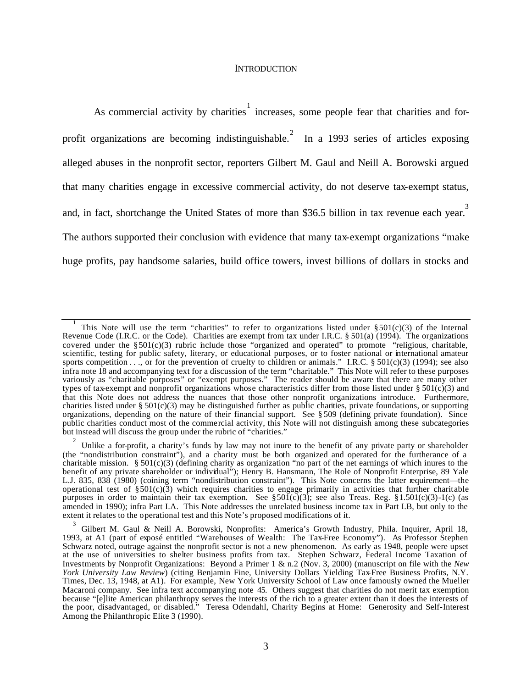#### **INTRODUCTION**

As commercial activity by charities  $\frac{1}{1}$  increases, some people fear that charities and forprofit organizations are becoming indistinguishable.<sup>2</sup> In a 1993 series of articles exposing alleged abuses in the nonprofit sector, reporters Gilbert M. Gaul and Neill A. Borowski argued that many charities engage in excessive commercial activity, do not deserve tax-exempt status, and, in fact, shortchange the United States of more than \$36.5 billion in tax revenue each year. The authors supported their conclusion with evidence that many tax-exempt organizations "make huge profits, pay handsome salaries, build office towers, invest billions of dollars in stocks and

<sup>1</sup> This Note will use the term "charities" to refer to organizations listed under  $\S 501(c)(3)$  of the Internal Revenue Code (I.R.C. or the Code). Charities are exempt from tax under I.R.C. § 501(a) (1994). The organizations covered under the §501(c)(3) rubric include those "organized and operated" to promote "religious, charitable, scientific, testing for public safety, literary, or educational purposes, or to foster national or international amateur sports competition  $\dots$ , or for the prevention of cruelty to children or animals." I.R.C. § 501(c)(3) (1994); see also infra note 18 and accompanying text for a discussion of the term "charitable." This Note will refer to these purposes variously as "charitable purposes" or "exempt purposes." The reader should be aware that there are many other types of tax-exempt and nonprofit organizations whose characteristics differ from those listed under  $\S 501(c)(3)$  and that this Note does not address the nuances that those other nonprofit organizations introduce. Furthermore, charities listed under § 501(c)(3) may be distinguished further as public charities, private foundations, or supporting organizations, depending on the nature of their financial support. See § 509 (defining private foundation). Since public charities conduct most of the commercial activity, this Note will not distinguish among these subcategories but instead will discuss the group under the rubric of "charities."

<sup>2</sup> Unlike a for-profit, a charity's funds by law may not inure to the benefit of any private party or shareholder (the "nondistribution constraint"), and a charity must be both organized and operated for the furtherance of a charitable mission. §  $501(c)(3)$  (defining charity as organization "no part of the net earnings of which inures to the benefit of any private shareholder or individual"); Henry B. Hansmann, The Role of Nonprofit Enterprise, 89 Yale L.J. 835, 838 (1980) (coining term "nondistribution constraint"). This Note concerns the latter requirement—the operational test of  $\S$ 501(c)(3) which requires charities to engage primarily in activities that further charitable purposes in order to maintain their tax exemption. See §501(c)(3); see also Treas. Reg. §1.501(c)(3)-1(c) (as amended in 1990); infra Part I.A. This Note addresses the unrelated business income tax in Part I.B, but only to the extent it relates to the operational test and this Note's proposed modifications of it.

<sup>3</sup> Gilbert M. Gaul & Neill A. Borowski, Nonprofits: America's Growth Industry, Phila. Inquirer, April 18, 1993, at A1 (part of exposé entitled "Warehouses of Wealth: The Tax-Free Economy"). As Professor Stephen Schwarz noted, outrage against the nonprofit sector is not a new phenomenon. As early as 1948, people were upset at the use of universities to shelter business profits from tax. Stephen Schwarz, Federal Income Taxation of Investments by Nonprofit Organizations: Beyond a Primer 1 & n.2 (Nov. 3, 2000) (manuscript on file with the *New York University Law Review*) (citing Benjamin Fine, University Dollars Yielding Tax-Free Business Profits, N.Y. Times, Dec. 13, 1948, at A1). For example, New York University School of Law once famously owned the Mueller Macaroni company. See infra text accompanying note 45. Others suggest that charities do not merit tax exemption because "[e]lite American philanthropy serves the interests of the rich to a greater extent than it does the interests of the poor, disadvantaged, or disabled." Teresa Odendahl, Charity Begins at Home: Generosity and Self-Interest Among the Philanthropic Elite 3 (1990).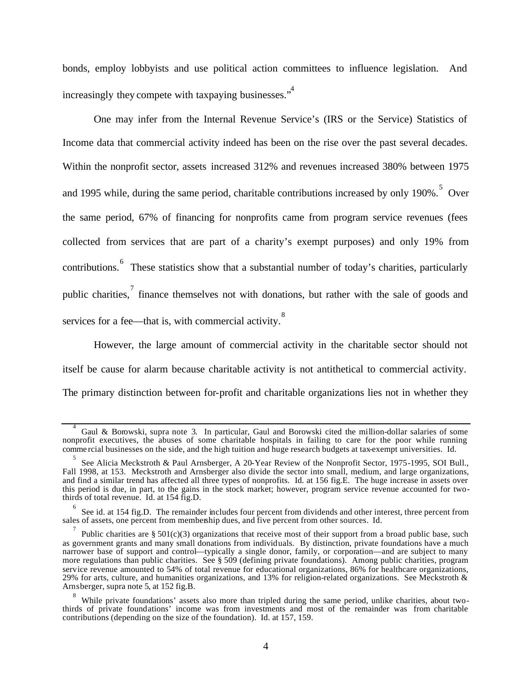bonds, employ lobbyists and use political action committees to influence legislation. And increasingly they compete with taxpaying businesses."

One may infer from the Internal Revenue Service's (IRS or the Service) Statistics of Income data that commercial activity indeed has been on the rise over the past several decades. Within the nonprofit sector, assets increased 312% and revenues increased 380% between 1975 and 1995 while, during the same period, charitable contributions increased by only 190%. <sup>5</sup> Over the same period, 67% of financing for nonprofits came from program service revenues (fees collected from services that are part of a charity's exempt purposes) and only 19% from contributions. <sup>6</sup> These statistics show that a substantial number of today's charities, particularly public charities,  $\overline{a}$  finance themselves not with donations, but rather with the sale of goods and services for a fee—that is, with commercial activity.<sup>8</sup>

However, the large amount of commercial activity in the charitable sector should not itself be cause for alarm because charitable activity is not antithetical to commercial activity. The primary distinction between for-profit and charitable organizations lies not in whether they

<sup>4</sup> Gaul & Borowski, supra note 3. In particular, Gaul and Borowski cited the million-dollar salaries of some nonprofit executives, the abuses of some charitable hospitals in failing to care for the poor while running comme rcial businesses on the side, and the high tuition and huge research budgets at tax-exempt universities. Id.

<sup>5</sup> See Alicia Meckstroth & Paul Arnsberger, A 20-Year Review of the Nonprofit Sector, 1975-1995, SOI Bull., Fall 1998, at 153. Meckstroth and Arnsberger also divide the sector into small, medium, and large organizations, and find a similar trend has affected all three types of nonprofits. Id. at 156 fig.E. The huge increase in assets over this period is due, in part, to the gains in the stock market; however, program service revenue accounted for twothirds of total revenue. Id. at 154 fig.D.

<sup>6</sup> See id. at 154 fig.D. The remainder includes four percent from dividends and other interest, three percent from sales of assets, one percent from membership dues, and five percent from other sources. Id.

<sup>7</sup> Public charities are §  $501(c)(3)$  organizations that receive most of their support from a broad public base, such as government grants and many small donations from individuals. By distinction, private foundations have a much narrower base of support and control—typically a single donor, family, or corporation—and are subject to many more regulations than public charities. See § 509 (defining private foundations). Among public charities, program service revenue amounted to 54% of total revenue for educational organizations, 86% for healthcare organizations, 29% for arts, culture, and humanities organizations, and 13% for religion-related organizations. See Meckstroth  $\&$ Arnsberger, supra note 5, at 152 fig.B.

<sup>&</sup>lt;sup>8</sup> While private foundations' assets also more than tripled during the same period, unlike charities, about twothirds of private foundations' income was from investments and most of the remainder was from charitable contributions (depending on the size of the foundation). Id. at 157, 159.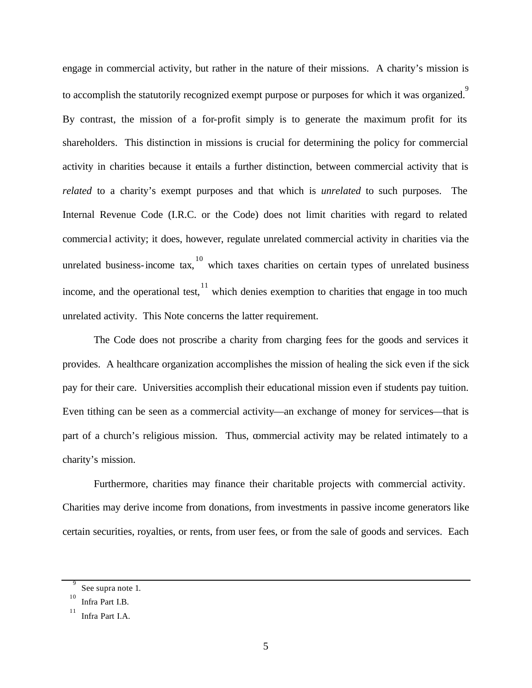engage in commercial activity, but rather in the nature of their missions. A charity's mission is to accomplish the statutorily recognized exempt purpose or purposes for which it was organized.<sup>9</sup> By contrast, the mission of a for-profit simply is to generate the maximum profit for its shareholders. This distinction in missions is crucial for determining the policy for commercial activity in charities because it entails a further distinction, between commercial activity that is *related* to a charity's exempt purposes and that which is *unrelated* to such purposes. The Internal Revenue Code (I.R.C. or the Code) does not limit charities with regard to related commercial activity; it does, however, regulate unrelated commercial activity in charities via the unrelated business-income tax,  $10$  which taxes charities on certain types of unrelated business income, and the operational test,  $\frac{11}{11}$  which denies exemption to charities that engage in too much unrelated activity. This Note concerns the latter requirement.

The Code does not proscribe a charity from charging fees for the goods and services it provides. A healthcare organization accomplishes the mission of healing the sick even if the sick pay for their care. Universities accomplish their educational mission even if students pay tuition. Even tithing can be seen as a commercial activity—an exchange of money for services—that is part of a church's religious mission. Thus, commercial activity may be related intimately to a charity's mission.

Furthermore, charities may finance their charitable projects with commercial activity. Charities may derive income from donations, from investments in passive income generators like certain securities, royalties, or rents, from user fees, or from the sale of goods and services. Each

<sup>9</sup> See supra note 1.

<sup>10</sup> Infra Part I.B.

<sup>11</sup> Infra Part I.A.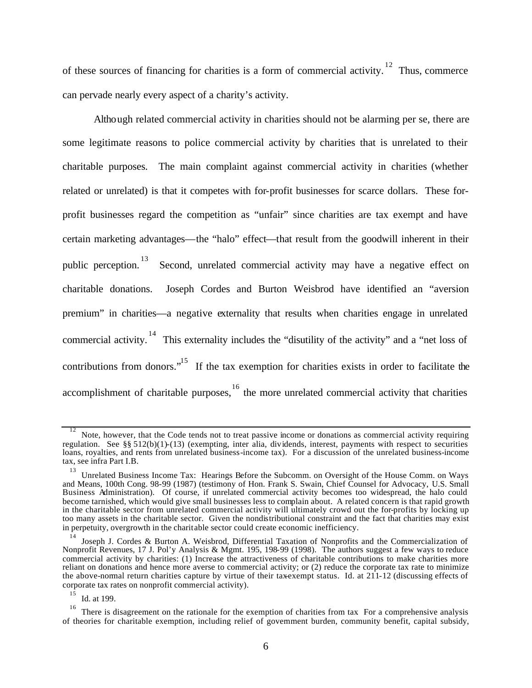of these sources of financing for charities is a form of commercial activity.<sup>12</sup> Thus, commerce can pervade nearly every aspect of a charity's activity.

Although related commercial activity in charities should not be alarming per se, there are some legitimate reasons to police commercial activity by charities that is unrelated to their charitable purposes. The main complaint against commercial activity in charities (whether related or unrelated) is that it competes with for-profit businesses for scarce dollars. These forprofit businesses regard the competition as "unfair" since charities are tax exempt and have certain marketing advantages—the "halo" effect—that result from the goodwill inherent in their public perception.<sup>13</sup> Second, unrelated commercial activity may have a negative effect on charitable donations. Joseph Cordes and Burton Weisbrod have identified an "aversion premium" in charities—a negative externality that results when charities engage in unrelated commercial activity.<sup>14</sup> This externality includes the "disutility of the activity" and a "net loss of contributions from donors."<sup>15</sup> If the tax exemption for charities exists in order to facilitate the accomplishment of charitable purposes, <sup>16</sup> the more unrelated commercial activity that charities

15 Id. at 199.

<sup>12</sup> Note, however, that the Code tends not to treat passive income or donations as commercial activity requiring regulation. See §§ 512(b)(1)-(13) (exempting, inter alia, dividends, interest, payments with respect to securities loans, royalties, and rents from unrelated business-income tax). For a discussion of the unrelated business-income tax, see infra Part I.B.

<sup>13</sup> Unrelated Business Income Tax: Hearings Before the Subcomm. on Oversight of the House Comm. on Ways and Means, 100th Cong. 98-99 (1987) (testimony of Hon. Frank S. Swain, Chief Counsel for Advocacy, U.S. Small Business Administration). Of course, if unrelated commercial activity becomes too widespread, the halo could become tarnished, which would give small businesses less to complain about. A related concern is that rapid growth in the charitable sector from unrelated commercial activity will ultimately crowd out the for-profits by locking up too many assets in the charitable sector. Given the nondistributional constraint and the fact that charities may exist in perpetuity, overgrowth in the charitable sector could create economic inefficiency.

<sup>14</sup> Joseph J. Cordes & Burton A. Weisbrod, Differential Taxation of Nonprofits and the Commercialization of Nonprofit Revenues, 17 J. Pol'y Analysis & Mgmt. 195, 198-99 (1998). The authors suggest a few ways to reduce commercial activity by charities: (1) Increase the attractiveness of charitable contributions to make charities more reliant on donations and hence more averse to commercial activity; or (2) reduce the corporate tax rate to minimize the above-normal return charities capture by virtue of their tax-exempt status. Id. at  $211-12$  (discussing effects of corporate tax rates on nonprofit commercial activity).

<sup>16</sup> There is disagreement on the rationale for the exemption of charities from tax. For a comprehensive analysis of theories for charitable exemption, including relief of government burden, community benefit, capital subsidy,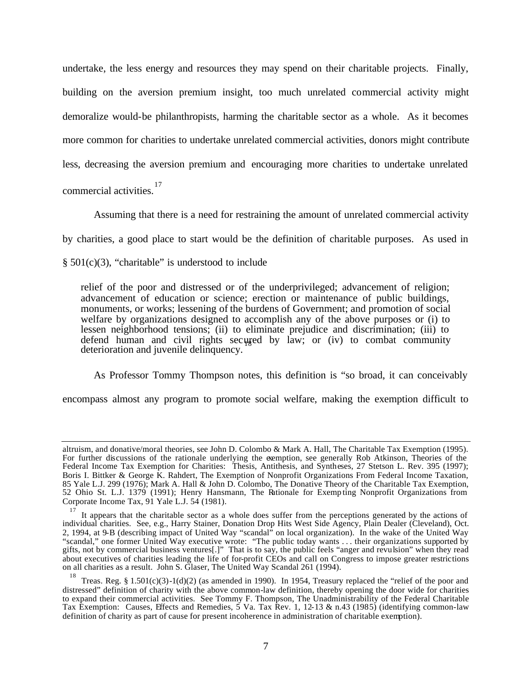undertake, the less energy and resources they may spend on their charitable projects. Finally, building on the aversion premium insight, too much unrelated commercial activity might demoralize would-be philanthropists, harming the charitable sector as a whole. As it becomes more common for charities to undertake unrelated commercial activities, donors might contribute less, decreasing the aversion premium and encouraging more charities to undertake unrelated commercial activities. 17

Assuming that there is a need for restraining the amount of unrelated commercial activity

by charities, a good place to start would be the definition of charitable purposes. As used in

 $§ 501(c)(3)$ , "charitable" is understood to include

relief of the poor and distressed or of the underprivileged; advancement of religion; advancement of education or science; erection or maintenance of public buildings, monuments, or works; lessening of the burdens of Government; and promotion of social welfare by organizations designed to accomplish any of the above purposes or (i) to lessen neighborhood tensions; (ii) to eliminate prejudice and discrimination; (iii) to defend human and civil rights secured by law; or (iv) to combat community deterioration and juvenile delinquency.

As Professor Tommy Thompson notes, this definition is "so broad, it can conceivably

encompass almost any program to promote social welfare, making the exemption difficult to

altruism, and donative/moral theories, see John D. Colombo & Mark A. Hall, The Charitable Tax Exemption (1995). For further discussions of the rationale underlying the exemption, see generally Rob Atkinson, Theories of the Federal Income Tax Exemption for Charities: Thesis, Antithesis, and Syntheses, 27 Stetson L. Rev. 395 (1997); Boris I. Bittker & George K. Rahdert, The Exemption of Nonprofit Organizations From Federal Income Taxation, 85 Yale L.J. 299 (1976); Mark A. Hall & John D. Colombo, The Donative Theory of the Charitable Tax Exemption, 52 Ohio St. L.J. 1379 (1991); Henry Hansmann, The Rationale for Exemp ting Nonprofit Organizations from Corporate Income Tax, 91 Yale L.J. 54 (1981).

<sup>17</sup> It appears that the charitable sector as a whole does suffer from the perceptions generated by the actions of individual charities. See, e.g., Harry Stainer, Donation Drop Hits West Side Agency, Plain Dealer (Cleveland), Oct. 2, 1994, at 9-B (describing impact of United Way "scandal" on local organization). In the wake of the United Way "scandal," one former United Way executive wrote: "The public today wants . . . their organizations supported by gifts, not by commercial business ventures[.]" That is to say, the public feels "anger and revulsion" when they read about executives of charities leading the life of for-profit CEOs and call on Congress to impose greater restrictions on all charities as a result. John S. Glaser, The United Way Scandal 261 (1994).

<sup>18</sup> Treas. Reg. §  $1.501(c)(3)-1(d)(2)$  (as amended in 1990). In 1954, Treasury replaced the "relief of the poor and distressed" definition of charity with the above common-law definition, thereby opening the door wide for charities to expand their commercial activities. See Tommy F. Thompson, The Unadministrability of the Federal Charitable Tax Exemption: Causes, Effects and Remedies, 5 Va. Tax Rev. 1, 12-13 & n.43 (1985) (identifying common-law definition of charity as part of cause for present incoherence in administration of charitable exemption).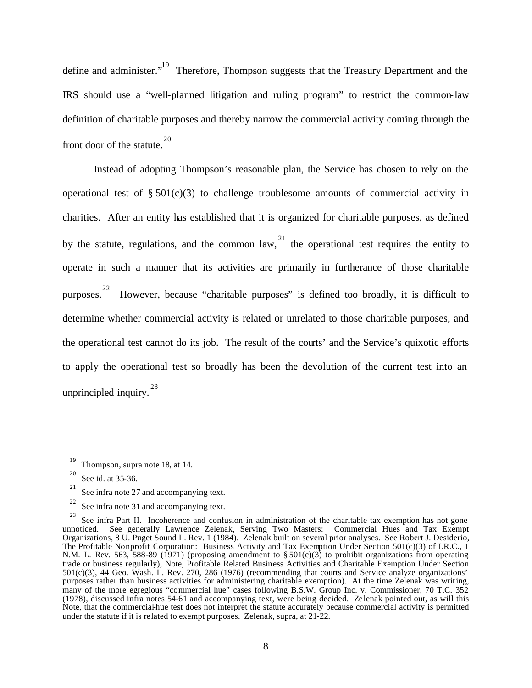define and administer."<sup>19</sup> Therefore, Thompson suggests that the Treasury Department and the IRS should use a "well-planned litigation and ruling program" to restrict the common-law definition of charitable purposes and thereby narrow the commercial activity coming through the front door of the statute.<sup>20</sup>

Instead of adopting Thompson's reasonable plan, the Service has chosen to rely on the operational test of  $\S 501(c)(3)$  to challenge troublesome amounts of commercial activity in charities. After an entity has established that it is organized for charitable purposes, as defined by the statute, regulations, and the common law,  $21$  the operational test requires the entity to operate in such a manner that its activities are primarily in furtherance of those charitable purposes. 22 However, because "charitable purposes" is defined too broadly, it is difficult to determine whether commercial activity is related or unrelated to those charitable purposes, and the operational test cannot do its job. The result of the courts' and the Service's quixotic efforts to apply the operational test so broadly has been the devolution of the current test into an unprincipled inquiry. $^{23}$ 

<sup>19</sup> Thompson, supra note 18, at 14.

<sup>20</sup> See id. at 35-36.

<sup>21</sup> See infra note 27 and accompanying text.

<sup>22</sup> See infra note 31 and accompanying text.

<sup>23</sup> See infra Part II. Incoherence and confusion in administration of the charitable tax exemption has not gone unnoticed. See generally Lawrence Zelenak, Serving Two Masters: Commercial Hues and Tax Exempt Organizations, 8 U. Puget Sound L. Rev. 1 (1984). Zelenak built on several prior analyses. See Robert J. Desiderio, The Profitable Nonprofit Corporation: Business Activity and Tax Exemption Under Section 501(c)(3) of I.R.C., 1 N.M. L. Rev. 563, 588-89 (1971) (proposing amendment to  $\S 501(c)(3)$  to prohibit organizations from operating trade or business regularly); Note, Profitable Related Business Activities and Charitable Exemption Under Section 501(c)(3), 44 Geo. Wash. L. Rev. 270, 286 (1976) (recommending that courts and Service analyze organizations' purposes rather than business activities for administering charitable exemption). At the time Zelenak was writing, many of the more egregious "commercial hue" cases following B.S.W. Group Inc. v. Commissioner, 70 T.C. 352 (1978), discussed infra notes 54-61 and accompanying text, were being decided. Zelenak pointed out, as will this Note, that the commercial-hue test does not interpret the statute accurately because commercial activity is permitted under the statute if it is related to exempt purposes. Zelenak, supra, at 21-22.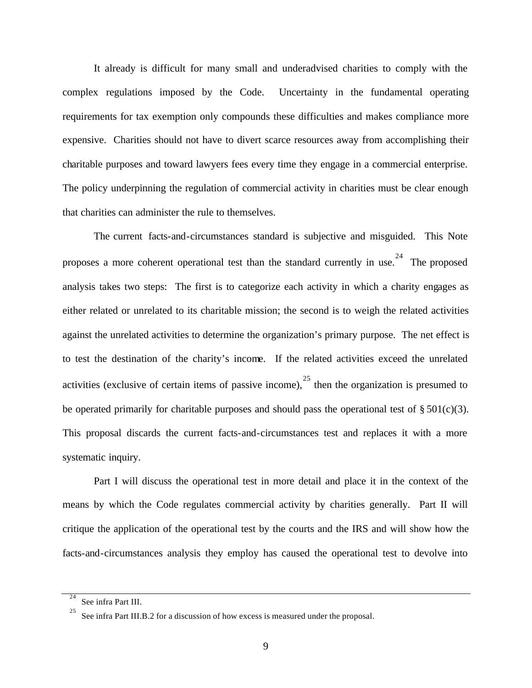It already is difficult for many small and underadvised charities to comply with the complex regulations imposed by the Code. Uncertainty in the fundamental operating requirements for tax exemption only compounds these difficulties and makes compliance more expensive. Charities should not have to divert scarce resources away from accomplishing their charitable purposes and toward lawyers fees every time they engage in a commercial enterprise. The policy underpinning the regulation of commercial activity in charities must be clear enough that charities can administer the rule to themselves.

The current facts-and-circumstances standard is subjective and misguided. This Note proposes a more coherent operational test than the standard currently in use.<sup>24</sup> The proposed analysis takes two steps: The first is to categorize each activity in which a charity engages as either related or unrelated to its charitable mission; the second is to weigh the related activities against the unrelated activities to determine the organization's primary purpose. The net effect is to test the destination of the charity's income. If the related activities exceed the unrelated activities (exclusive of certain items of passive income),  $25$  then the organization is presumed to be operated primarily for charitable purposes and should pass the operational test of  $\S 501(c)(3)$ . This proposal discards the current facts-and-circumstances test and replaces it with a more systematic inquiry.

Part I will discuss the operational test in more detail and place it in the context of the means by which the Code regulates commercial activity by charities generally. Part II will critique the application of the operational test by the courts and the IRS and will show how the facts-and-circumstances analysis they employ has caused the operational test to devolve into

<sup>24</sup> See infra Part III.

<sup>25</sup> See infra Part III.B.2 for a discussion of how excess is measured under the proposal.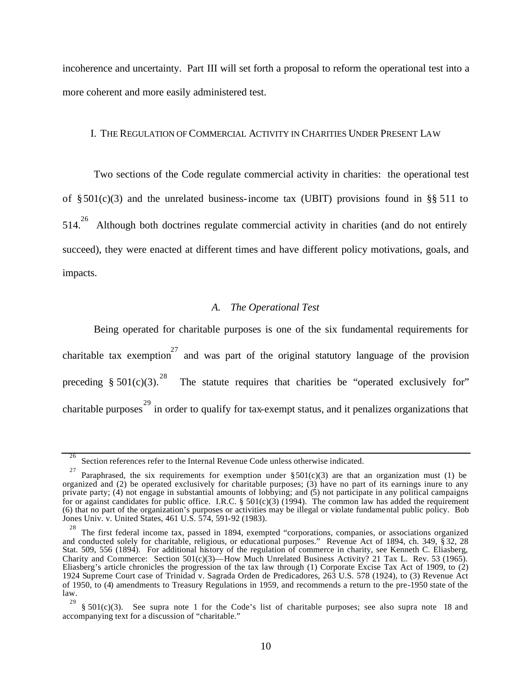incoherence and uncertainty. Part III will set forth a proposal to reform the operational test into a more coherent and more easily administered test.

#### I. THE REGULATION OF COMMERCIAL ACTIVITY IN CHARITIES UNDER PRESENT LAW

Two sections of the Code regulate commercial activity in charities: the operational test of  $\S 501(c)(3)$  and the unrelated business-income tax (UBIT) provisions found in §§ 511 to  $514.<sup>26</sup>$  Although both doctrines regulate commercial activity in charities (and do not entirely succeed), they were enacted at different times and have different policy motivations, goals, and impacts.

#### *A. The Operational Test*

Being operated for charitable purposes is one of the six fundamental requirements for charitable tax exemption<sup>27</sup> and was part of the original statutory language of the provision preceding § 501(c)(3).<sup>28</sup> The statute requires that charities be "operated exclusively for" charitable purposes<sup>29</sup> in order to qualify for tax-exempt status, and it penalizes organizations that

<sup>26</sup> Section references refer to the Internal Revenue Code unless otherwise indicated.

<sup>27</sup> Paraphrased, the six requirements for exemption under  $\S 501(c)(3)$  are that an organization must (1) be organized and (2) be operated exclusively for charitable purposes; (3) have no part of its earnings inure to any private party; (4) not engage in substantial amounts of lobbying; and (5) not participate in any political campaigns for or against candidates for public office. I.R.C.  $\S 501(c)(3)$  (1994). The common law has added the requirement (6) that no part of the organization's purposes or activities may be illegal or violate fundamental public policy. Bob Jones Univ. v. United States, 461 U.S. 574, 591-92 (1983).

<sup>&</sup>lt;sup>28</sup> The first federal income tax, passed in 1894, exempted "corporations, companies, or associations organized and conducted solely for charitable, religious, or educational purposes." Revenue Act of 1894, ch. 349, § 32, 28 Stat. 509, 556 (1894). For additional history of the regulation of commerce in charity, see Kenneth C. Eliasberg, Charity and Commerce: Section 501(c)(3)—How Much Unrelated Business Activity? 21 Tax L. Rev. 53 (1965). Eliasberg's article chronicles the progression of the tax law through (1) Corporate Excise Tax Act of 1909, to (2) 1924 Supreme Court case of Trinidad v. Sagrada Orden de Predicadores, 263 U.S. 578 (1924), to (3) Revenue Act of 1950, to (4) amendments to Treasury Regulations in 1959, and recommends a return to the pre-1950 state of the law.

<sup>29</sup>  $§ 501(c)(3)$ . See supra note 1 for the Code's list of charitable purposes; see also supra note 18 and accompanying text for a discussion of "charitable."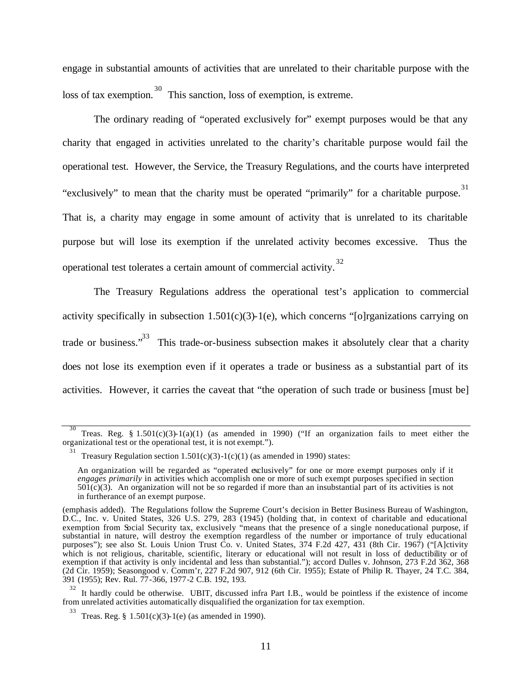engage in substantial amounts of activities that are unrelated to their charitable purpose with the loss of tax exemption.<sup>30</sup> This sanction, loss of exemption, is extreme.

The ordinary reading of "operated exclusively for" exempt purposes would be that any charity that engaged in activities unrelated to the charity's charitable purpose would fail the operational test. However, the Service, the Treasury Regulations, and the courts have interpreted "exclusively" to mean that the charity must be operated "primarily" for a charitable purpose.<sup>31</sup> That is, a charity may engage in some amount of activity that is unrelated to its charitable purpose but will lose its exemption if the unrelated activity becomes excessive. Thus the operational test tolerates a certain amount of commercial activity.<sup>32</sup>

The Treasury Regulations address the operational test's application to commercial activity specifically in subsection  $1.501(c)(3)$ -1(e), which concerns "[o]rganizations carrying on trade or business."<sup>33</sup> This trade-or-business subsection makes it absolutely clear that a charity does not lose its exemption even if it operates a trade or business as a substantial part of its activities. However, it carries the caveat that "the operation of such trade or business [must be]

<sup>30</sup> Treas. Reg. §  $1.501(c)(3)-1(a)(1)$  (as amended in 1990) ("If an organization fails to meet either the organizational test or the operational test, it is not exempt.").

<sup>31</sup> Treasury Regulation section  $1.501(c)(3)-1(c)(1)$  (as amended in 1990) states:

An organization will be regarded as "operated exclusively" for one or more exempt purposes only if it *engages primarily* in activities which accomplish one or more of such exempt purposes specified in section  $501(c)(3)$ . An organization will not be so regarded if more than an insubstantial part of its activities is not in furtherance of an exempt purpose.

<sup>(</sup>emphasis added). The Regulations follow the Supreme Court's decision in Better Business Bureau of Washington, D.C., Inc. v. United States, 326 U.S. 279, 283 (1945) (holding that, in context of charitable and educational exemption from Social Security tax, exclusively "means that the presence of a single noneducational purpose, if substantial in nature, will destroy the exemption regardless of the number or importance of truly educational purposes"); see also St. Louis Union Trust Co. v. United States, 374 F.2d 427, 431 (8th Cir. 1967) ("[A]ctivity which is not religious, charitable, scientific, literary or educational will not result in loss of deductibility or of exemption if that activity is only incidental and less than substantial."); accord Dulles v. Johnson, 273 F.2d 362, 368 (2d Cir. 1959); Seasongood v. Comm'r, 227 F.2d 907, 912 (6th Cir. 1955); Estate of Philip R. Thayer, 24 T.C. 384, 391 (1955); Rev. Rul. 77-366, 1977-2 C.B. 192, 193.

<sup>32</sup> It hardly could be otherwise. UBIT, discussed infra Part I.B., would be pointless if the existence of income from unrelated activities automatically disqualified the organization for tax exemption.

<sup>33</sup> Treas. Reg. § 1.501(c)(3)-1(e) (as amended in 1990).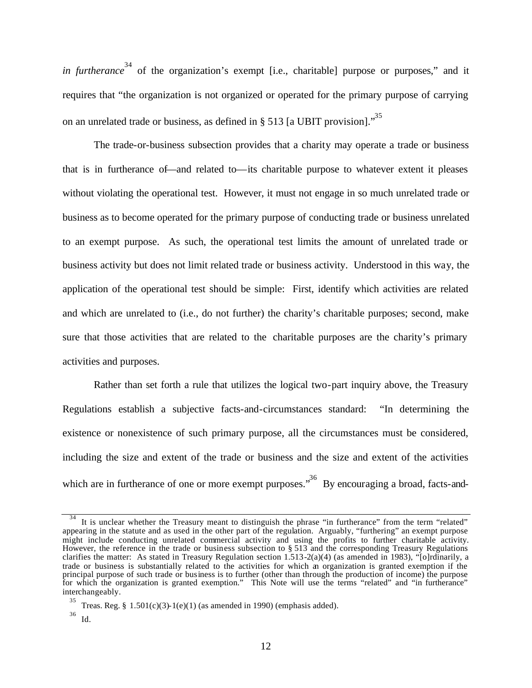*in furtherance*<sup>34</sup> of the organization's exempt [i.e., charitable] purpose or purposes," and it requires that "the organization is not organized or operated for the primary purpose of carrying on an unrelated trade or business, as defined in  $\S$  513 [a UBIT provision].<sup>35</sup>

The trade-or-business subsection provides that a charity may operate a trade or business that is in furtherance of—and related to—its charitable purpose to whatever extent it pleases without violating the operational test. However, it must not engage in so much unrelated trade or business as to become operated for the primary purpose of conducting trade or business unrelated to an exempt purpose. As such, the operational test limits the amount of unrelated trade or business activity but does not limit related trade or business activity. Understood in this way, the application of the operational test should be simple: First, identify which activities are related and which are unrelated to (i.e., do not further) the charity's charitable purposes; second, make sure that those activities that are related to the charitable purposes are the charity's primary activities and purposes.

Rather than set forth a rule that utilizes the logical two-part inquiry above, the Treasury Regulations establish a subjective facts-and-circumstances standard: "In determining the existence or nonexistence of such primary purpose, all the circumstances must be considered, including the size and extent of the trade or business and the size and extent of the activities which are in furtherance of one or more exempt purposes."<sup>36</sup> By encouraging a broad, facts-and-

<sup>34</sup> It is unclear whether the Treasury meant to distinguish the phrase "in furtherance" from the term "related" appearing in the statute and as used in the other part of the regulation. Arguably, "furthering" an exempt purpose might include conducting unrelated commercial activity and using the profits to further charitable activity. However, the reference in the trade or business subsection to § 513 and the corresponding Treasury Regulations clarifies the matter: As stated in Treasury Regulation section 1.513-2(a)(4) (as amended in 1983), "[o]rdinarily, a trade or business is substantially related to the activities for which an organization is granted exemption if the principal purpose of such trade or business is to further (other than through the production of income) the purpose for which the organization is granted exemption." This Note will use the terms "related" and "in furtherance" interchangeably.

<sup>35</sup> Treas. Reg.  $§ 1.501(c)(3)-1(e)(1)$  (as amended in 1990) (emphasis added).

<sup>36</sup> Id.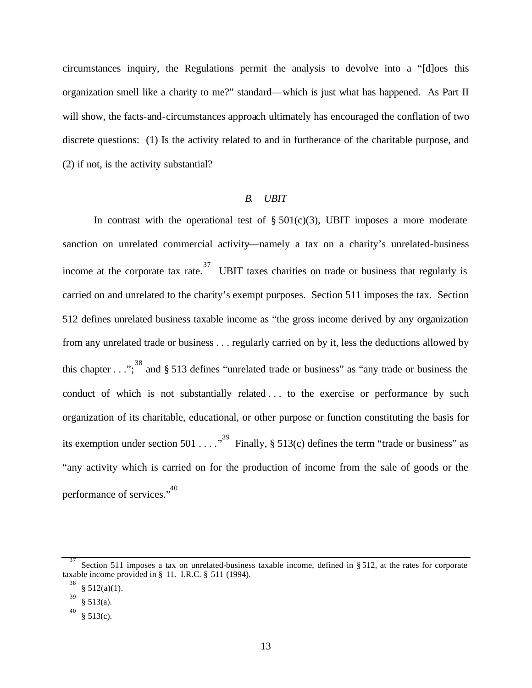circumstances inquiry, the Regulations permit the analysis to devolve into a "[d]oes this organization smell like a charity to me?" standard—which is just what has happened. As Part II will show, the facts-and-circumstances approach ultimately has encouraged the conflation of two discrete questions: (1) Is the activity related to and in furtherance of the charitable purpose, and (2) if not, is the activity substantial?

#### *B. UBIT*

In contrast with the operational test of  $\S 501(c)(3)$ , UBIT imposes a more moderate sanction on unrelated commercial activity—namely a tax on a charity's unrelated-business income at the corporate tax rate.<sup>37</sup> UBIT taxes charities on trade or business that regularly is carried on and unrelated to the charity's exempt purposes. Section 511 imposes the tax. Section 512 defines unrelated business taxable income as "the gross income derived by any organization from any unrelated trade or business . . . regularly carried on by it, less the deductions allowed by this chapter  $\ldots$ ";<sup>38</sup> and § 513 defines "unrelated trade or business" as "any trade or business the conduct of which is not substantially related . . . to the exercise or performance by such organization of its charitable, educational, or other purpose or function constituting the basis for its exemption under section 501 . . . . "<sup>39</sup> Finally, § 513(c) defines the term "trade or business" as "any activity which is carried on for the production of income from the sale of goods or the performance of services."<sup>40</sup>

<sup>37</sup> Section 511 imposes a tax on unrelated-business taxable income, defined in § 512, at the rates for corporate taxable income provided in § 11. I.R.C. § 511 (1994).

<sup>38</sup>  $§ 512(a)(1).$ 

<sup>39</sup> § 513(a).

<sup>40</sup>  $§ 513(c).$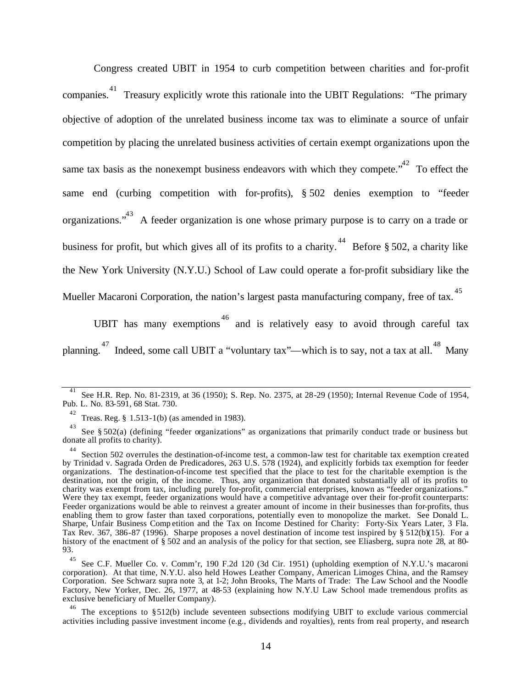Congress created UBIT in 1954 to curb competition between charities and for-profit companies.<sup>41</sup> Treasury explicitly wrote this rationale into the UBIT Regulations: "The primary objective of adoption of the unrelated business income tax was to eliminate a source of unfair competition by placing the unrelated business activities of certain exempt organizations upon the same tax basis as the nonexempt business endeavors with which they compete."<sup>42</sup> To effect the same end (curbing competition with for-profits), § 502 denies exemption to "feeder organizations."<sup>43</sup> A feeder organization is one whose primary purpose is to carry on a trade or business for profit, but which gives all of its profits to a charity.<sup>44</sup> Before § 502, a charity like the New York University (N.Y.U.) School of Law could operate a for-profit subsidiary like the Mueller Macaroni Corporation, the nation's largest pasta manufacturing company, free of tax.<sup>45</sup>

UBIT has many exemptions  $46$  and is relatively easy to avoid through careful tax planning.<sup>47</sup> Indeed, some call UBIT a "voluntary tax"—which is to say, not a tax at all.<sup>48</sup> Many

<sup>41</sup> See H.R. Rep. No. 81-2319, at 36 (1950); S. Rep. No. 2375, at 28-29 (1950); Internal Revenue Code of 1954, Pub. L. No. 83-591, 68 Stat. 730.

<sup>42</sup> Treas. Reg. § 1.513-1(b) (as amended in 1983).

<sup>43</sup> See § 502(a) (defining "feeder organizations" as organizations that primarily conduct trade or business but donate all profits to charity).

<sup>44</sup> Section 502 overrules the destination-of-income test, a common-law test for charitable tax exemption created by Trinidad v. Sagrada Orden de Predicadores, 263 U.S. 578 (1924), and explicitly forbids tax exemption for feeder organizations. The destination-of-income test specified that the place to test for the charitable exemption is the destination, not the origin, of the income. Thus, any organization that donated substantially all of its profits to charity was exempt from tax, including purely for-profit, commercial enterprises, known as "feeder organizations." Were they tax exempt, feeder organizations would have a competitive advantage over their for-profit counterparts: Feeder organizations would be able to reinvest a greater amount of income in their businesses than for-profits, thus enabling them to grow faster than taxed corporations, potentially even to monopolize the market. See Donald L. Sharpe, Unfair Business Comp etition and the Tax on Income Destined for Charity: Forty-Six Years Later, 3 Fla. Tax Rev. 367, 386-87 (1996). Sharpe proposes a novel destination of income test inspired by § 512(b)(15). For a history of the enactment of § 502 and an analysis of the policy for that section, see Eliasberg, supra note 28, at 80-93.

<sup>45</sup> See C.F. Mueller Co. v. Comm'r, 190 F.2d 120 (3d Cir. 1951) (upholding exemption of N.Y.U.'s macaroni corporation). At that time, N.Y.U. also held Howes Leather Company, American Limoges China, and the Ramsey Corporation. See Schwarz supra note 3, at 1-2; John Brooks, The Marts of Trade: The Law School and the Noodle Factory, New Yorker, Dec. 26, 1977, at 48-53 (explaining how N.Y.U Law School made tremendous profits as exclusive beneficiary of Mueller Company).

<sup>46</sup> The exceptions to §512(b) include seventeen subsections modifying UBIT to exclude various commercial activities including passive investment income (e.g., dividends and royalties), rents from real property, and research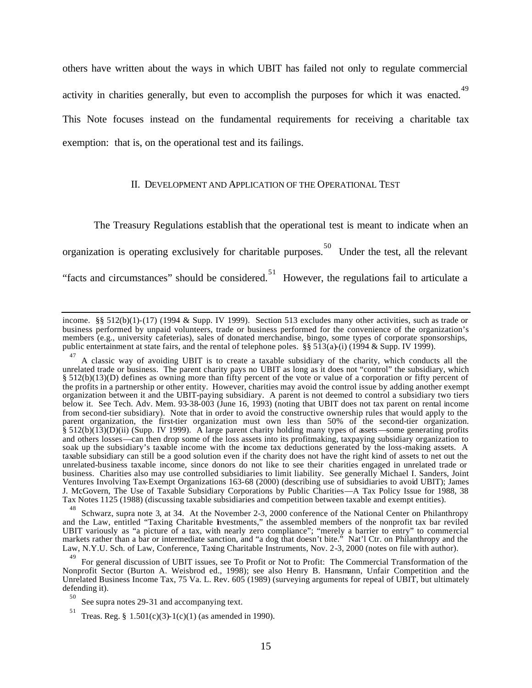others have written about the ways in which UBIT has failed not only to regulate commercial activity in charities generally, but even to accomplish the purposes for which it was enacted.<sup>49</sup> This Note focuses instead on the fundamental requirements for receiving a charitable tax exemption: that is, on the operational test and its failings.

#### II. DEVELOPMENT AND APPLICATION OF THE OPERATIONAL TEST

The Treasury Regulations establish that the operational test is meant to indicate when an organization is operating exclusively for charitable purposes. 50 Under the test, all the relevant "facts and circumstances" should be considered.<sup>51</sup> However, the regulations fail to articulate a

48 Schwarz, supra note 3, at 34. At the November 2-3, 2000 conference of the National Center on Philanthropy and the Law, entitled "Taxing Charitable Investments," the assembled members of the nonprofit tax bar reviled UBIT variously as "a picture of a tax, with nearly zero compliance"; "merely a barrier to entry" to commercial markets rather than a bar or intermediate sanction, and "a dog that doesn't bite." Nat'l Ctr. on Philanthropy and the Law, N.Y.U. Sch. of Law, Conference, Taxing Charitable Instruments, Nov. 2-3, 2000 (notes on file with author).

income. §§ 512(b)(1)-(17) (1994 & Supp. IV 1999). Section 513 excludes many other activities, such as trade or business performed by unpaid volunteers, trade or business performed for the convenience of the organization's members (e.g., university cafeterias), sales of donated merchandise, bingo, some types of corporate sponsorships, public entertainment at state fairs, and the rental of telephone poles. §§ 513(a)-(i) (1994 & Supp. IV 1999).

<sup>47</sup> A classic way of avoiding UBIT is to create a taxable subsidiary of the charity, which conducts all the unrelated trade or business. The parent charity pays no UBIT as long as it does not "control" the subsidiary, which § 512(b)(13)(D) defines as owning more than fifty percent of the vote or value of a corporation or fifty percent of the profits in a partnership or other entity. However, charities may avoid the control issue by adding another exempt organization between it and the UBIT-paying subsidiary. A parent is not deemed to control a subsidiary two tiers below it. See Tech. Adv. Mem. 93-38-003 (June 16, 1993) (noting that UBIT does not tax parent on rental income from second-tier subsidiary). Note that in order to avoid the constructive ownership rules that would apply to the parent organization, the first-tier organization must own less than 50% of the second-tier organization. § 512(b)(13)(D)(ii) (Supp. IV 1999). A large parent charity holding many types of assets—some generating profits and others losses—can then drop some of the loss assets into its profitmaking, taxpaying subsidiary organization to soak up the subsidiary's taxable income with the income tax deductions generated by the loss-making assets. A taxable subsidiary can still be a good solution even if the charity does not have the right kind of assets to net out the unrelated-business taxable income, since donors do not like to see their charities engaged in unrelated trade or business. Charities also may use controlled subsidiaries to limit liability. See generally Michael I. Sanders, Joint Ventures Involving Tax-Exempt Organizations 163-68 (2000) (describing use of subsidiaries to avoid UBIT); James J. McGovern, The Use of Taxable Subsidiary Corporations by Public Charities—A Tax Policy Issue for 1988, 38 Tax Notes 1125 (1988) (discussing taxable subsidiaries and competition between taxable and exempt entities).

<sup>49</sup> For general discussion of UBIT issues, see To Profit or Not to Profit: The Commercial Transformation of the Nonprofit Sector (Burton A. Weisbrod ed., 1998); see also Henry B. Hansmann, Unfair Competition and the Unrelated Business Income Tax, 75 Va. L. Rev. 605 (1989) (surveying arguments for repeal of UBIT, but ultimately defending it).

<sup>50</sup> See supra notes 29-31 and accompanying text.

<sup>51</sup> Treas. Reg. §  $1.501(c)(3)-1(c)(1)$  (as amended in 1990).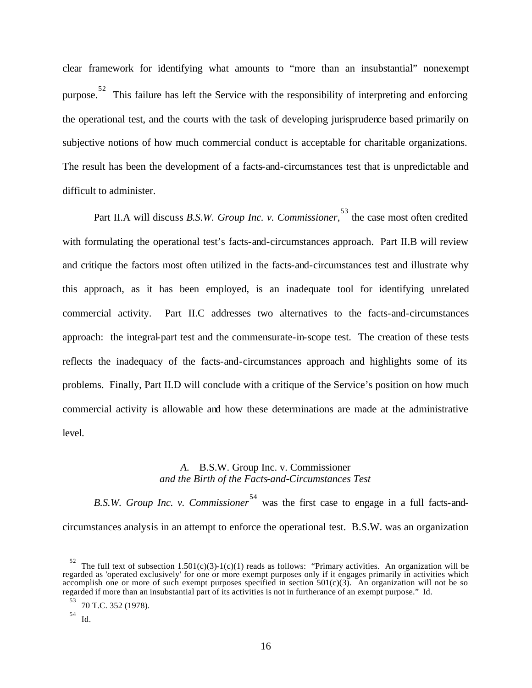clear framework for identifying what amounts to "more than an insubstantial" nonexempt purpose.<sup>52</sup> This failure has left the Service with the responsibility of interpreting and enforcing the operational test, and the courts with the task of developing jurisprudence based primarily on subjective notions of how much commercial conduct is acceptable for charitable organizations. The result has been the development of a facts-and-circumstances test that is unpredictable and difficult to administer.

Part II.A will discuss *B.S.W. Group Inc. v. Commissioner*, <sup>53</sup> the case most often credited with formulating the operational test's facts-and-circumstances approach. Part II.B will review and critique the factors most often utilized in the facts-and-circumstances test and illustrate why this approach, as it has been employed, is an inadequate tool for identifying unrelated commercial activity. Part II.C addresses two alternatives to the facts-and-circumstances approach: the integral-part test and the commensurate-in-scope test. The creation of these tests reflects the inadequacy of the facts-and-circumstances approach and highlights some of its problems. Finally, Part II.D will conclude with a critique of the Service's position on how much commercial activity is allowable and how these determinations are made at the administrative level.

#### *A.* B.S.W. Group Inc. v. Commissioner *and the Birth of the Facts-and-Circumstances Test*

*B.S.W. Group Inc. v. Commissioner*<sup>54</sup> was the first case to engage in a full facts-andcircumstances analysis in an attempt to enforce the operational test. B.S.W. was an organization

<sup>52</sup> The full text of subsection  $1.501(c)(3)-1(c)(1)$  reads as follows: "Primary activities. An organization will be regarded as 'operated exclusively' for one or more exempt purposes only if it engages primarily in activities which accomplish one or more of such exempt purposes specified in section  $501(c)(3)$ . An organization will not be so regarded if more than an insubstantial part of its activities is not in furtherance of an exempt purpose." Id.

<sup>53</sup> 70 T.C. 352 (1978).

<sup>54</sup> Id.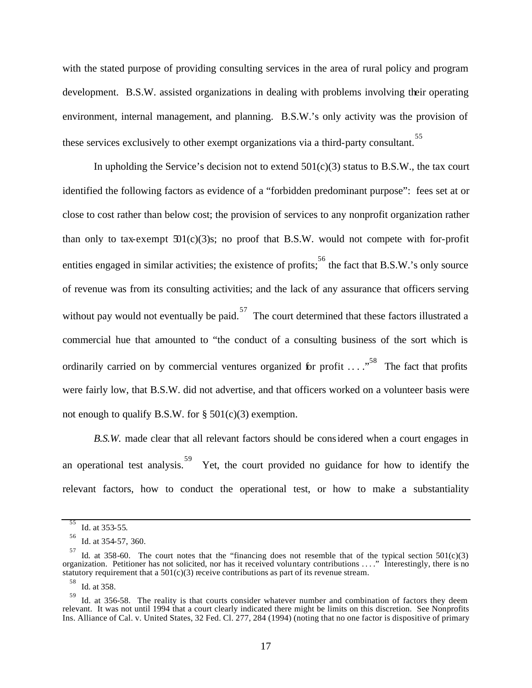with the stated purpose of providing consulting services in the area of rural policy and program development. B.S.W. assisted organizations in dealing with problems involving their operating environment, internal management, and planning. B.S.W.'s only activity was the provision of these services exclusively to other exempt organizations via a third-party consultant. 55

In upholding the Service's decision not to extend  $501(c)(3)$  status to B.S.W., the tax court identified the following factors as evidence of a "forbidden predominant purpose": fees set at or close to cost rather than below cost; the provision of services to any nonprofit organization rather than only to tax-exempt  $501(c)(3)$ s; no proof that B.S.W. would not compete with for-profit entities engaged in similar activities; the existence of profits; <sup>56</sup> the fact that B.S.W.'s only source of revenue was from its consulting activities; and the lack of any assurance that officers serving without pay would not eventually be paid.<sup>57</sup> The court determined that these factors illustrated a commercial hue that amounted to "the conduct of a consulting business of the sort which is ordinarily carried on by commercial ventures organized for profit  $\ldots$ .<sup>58</sup> The fact that profits were fairly low, that B.S.W. did not advertise, and that officers worked on a volunteer basis were not enough to qualify B.S.W. for  $\S$  501(c)(3) exemption.

*B.S.W.* made clear that all relevant factors should be considered when a court engages in an operational test analysis.<sup>59</sup> Yet, the court provided no guidance for how to identify the relevant factors, how to conduct the operational test, or how to make a substantiality

58 Id. at 358.

<sup>55</sup> Id. at 353-55.

<sup>56</sup> Id. at 354-57, 360.

 $57$  Id. at 358-60. The court notes that the "financing does not resemble that of the typical section 501(c)(3) organization. Petitioner has not solicited, nor has it received voluntary contributions . . . ." Interestingly, there is no statutory requirement that a  $501(c)(3)$  receive contributions as part of its revenue stream.

<sup>59</sup> Id. at 356-58. The reality is that courts consider whatever number and combination of factors they deem relevant. It was not until 1994 that a court clearly indicated there might be limits on this discretion. See Nonprofits Ins. Alliance of Cal. v. United States, 32 Fed. Cl. 277, 284 (1994) (noting that no one factor is dispositive of primary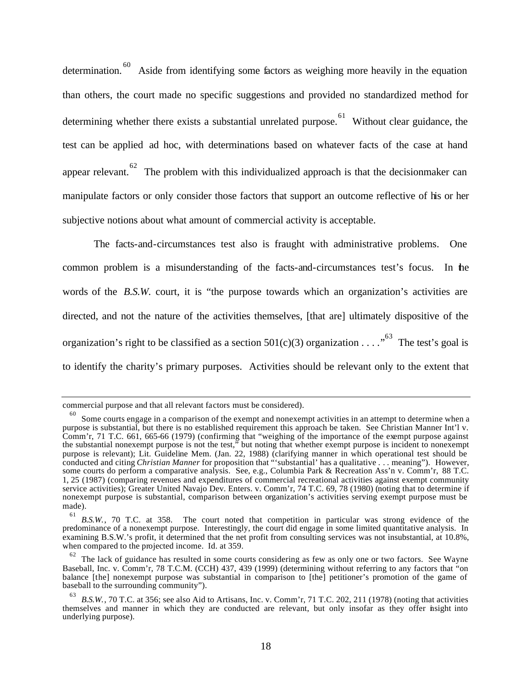determination.<sup>60</sup> Aside from identifying some factors as weighing more heavily in the equation than others, the court made no specific suggestions and provided no standardized method for determining whether there exists a substantial unrelated purpose. Without clear guidance, the test can be applied ad hoc, with determinations based on whatever facts of the case at hand appear relevant.<sup>62</sup> The problem with this individualized approach is that the decisionmaker can manipulate factors or only consider those factors that support an outcome reflective of his or her subjective notions about what amount of commercial activity is acceptable.

The facts-and-circumstances test also is fraught with administrative problems. One common problem is a misunderstanding of the facts-and-circumstances test's focus. In the words of the *B.S.W.* court, it is "the purpose towards which an organization's activities are directed, and not the nature of the activities themselves, [that are] ultimately dispositive of the organization's right to be classified as a section  $501(c)(3)$  organization . . . .<sup>63</sup> The test's goal is to identify the charity's primary purposes. Activities should be relevant only to the extent that

commercial purpose and that all relevant factors must be considered).

<sup>60</sup> Some courts engage in a comparison of the exempt and nonexempt activities in an attempt to determine when a purpose is substantial, but there is no established requirement this approach be taken. See Christian Manner Int'l v. Comm'r, 71 T.C. 661, 665-66 (1979) (confirming that "weighing of the importance of the exempt purpose against the substantial nonexempt purpose is not the test," but noting that whether exempt purpose is incident to nonexempt purpose is relevant); Lit. Guideline Mem. (Jan. 22, 1988) (clarifying manner in which operational test should be conducted and citing *Christian Manner* for proposition that "'substantial' has a qualitative . . . meaning"). However, some courts do perform a comparative analysis. See, e.g., Columbia Park & Recreation Ass'n v. Comm'r, 88 T.C. 1, 25 (1987) (comparing revenues and expenditures of commercial recreational activities against exempt community service activities); Greater United Navajo Dev. Enters. v. Comm'r, 74 T.C. 69, 78 (1980) (noting that to determine if nonexempt purpose is substantial, comparison between organization's activities serving exempt purpose must be made).

<sup>61</sup> *B.S.W.*, 70 T.C. at 358. The court noted that competition in particular was strong evidence of the predominance of a nonexempt purpose. Interestingly, the court did engage in some limited quantitative analysis. In examining B.S.W.'s profit, it determined that the net profit from consulting services was not insubstantial, at 10.8%, when compared to the projected income. Id. at 359.

<sup>62</sup> The lack of guidance has resulted in some courts considering as few as only one or two factors. See Wayne Baseball, Inc. v. Comm'r, 78 T.C.M. (CCH) 437, 439 (1999) (determining without referring to any factors that "on balance [the] nonexempt purpose was substantial in comparison to [the] petitioner's promotion of the game of baseball to the surrounding community").

<sup>63</sup> *B.S.W.*, 70 T.C. at 356; see also Aid to Artisans, Inc. v. Comm'r, 71 T.C. 202, 211 (1978) (noting that activities themselves and manner in which they are conducted are relevant, but only insofar as they offer insight into underlying purpose).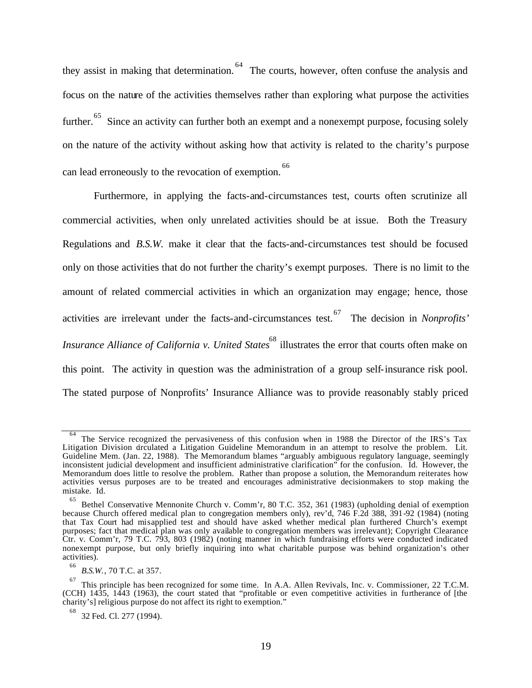they assist in making that determination.<sup>64</sup> The courts, however, often confuse the analysis and focus on the nature of the activities themselves rather than exploring what purpose the activities further.<sup>65</sup> Since an activity can further both an exempt and a nonexempt purpose, focusing solely on the nature of the activity without asking how that activity is related to the charity's purpose can lead erroneously to the revocation of exemption. 66

Furthermore, in applying the facts-and-circumstances test, courts often scrutinize all commercial activities, when only unrelated activities should be at issue. Both the Treasury Regulations and *B.S.W.* make it clear that the facts-and-circumstances test should be focused only on those activities that do not further the charity's exempt purposes. There is no limit to the amount of related commercial activities in which an organization may engage; hence, those activities are irrelevant under the facts-and-circumstances test. 67 The decision in *Nonprofits' Insurance Alliance of California v. United States* 68 illustrates the error that courts often make on this point. The activity in question was the administration of a group self-insurance risk pool. The stated purpose of Nonprofits' Insurance Alliance was to provide reasonably stably priced

<sup>64</sup> The Service recognized the pervasiveness of this confusion when in 1988 the Director of the IRS's Tax Litigation Division circulated a Litigation Guideline Memorandum in an attempt to resolve the problem. Lit. Guideline Mem. (Jan. 22, 1988). The Memorandum blames "arguably ambiguous regulatory language, seemingly inconsistent judicial development and insufficient administrative clarification" for the confusion. Id. However, the Memorandum does little to resolve the problem. Rather than propose a solution, the Memorandum reiterates how activities versus purposes are to be treated and encourages administrative decisionmakers to stop making the mistake. Id.

<sup>65</sup> Bethel Conservative Mennonite Church v. Comm'r, 80 T.C. 352, 361 (1983) (upholding denial of exemption because Church offered medical plan to congregation members only), rev'd, 746 F.2d 388, 391-92 (1984) (noting that Tax Court had misapplied test and should have asked whether medical plan furthered Church's exempt purposes; fact that medical plan was only available to congregation members was irrelevant); Copyright Clearance Ctr. v. Comm'r, 79 T.C. 793, 803 (1982) (noting manner in which fundraising efforts were conducted indicated nonexempt purpose, but only briefly inquiring into what charitable purpose was behind organization's other activities).

<sup>66</sup> *B.S.W.*, 70 T.C. at 357.

<sup>67</sup> This principle has been recognized for some time. In A.A. Allen Revivals, Inc. v. Commissioner, 22 T.C.M. (CCH) 1435, 1443 (1963), the court stated that "profitable or even competitive activities in furtherance of [the charity's] religious purpose do not affect its right to exemption."

<sup>68</sup> 32 Fed. Cl. 277 (1994).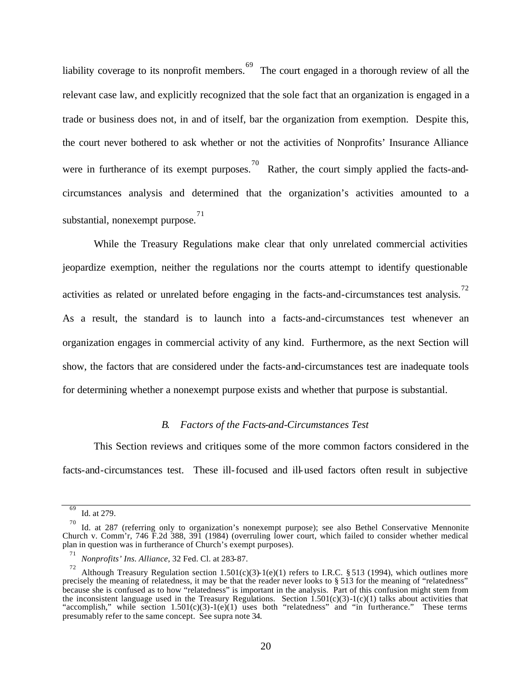liability coverage to its nonprofit members. <sup>69</sup> The court engaged in a thorough review of all the relevant case law, and explicitly recognized that the sole fact that an organization is engaged in a trade or business does not, in and of itself, bar the organization from exemption. Despite this, the court never bothered to ask whether or not the activities of Nonprofits' Insurance Alliance were in furtherance of its exempt purposes.<sup>70</sup> Rather, the court simply applied the facts-andcircumstances analysis and determined that the organization's activities amounted to a substantial, nonexempt purpose.<sup>71</sup>

While the Treasury Regulations make clear that only unrelated commercial activities jeopardize exemption, neither the regulations nor the courts attempt to identify questionable activities as related or unrelated before engaging in the facts-and-circumstances test analysis.<sup>72</sup> As a result, the standard is to launch into a facts-and-circumstances test whenever an organization engages in commercial activity of any kind. Furthermore, as the next Section will show, the factors that are considered under the facts-and-circumstances test are inadequate tools for determining whether a nonexempt purpose exists and whether that purpose is substantial.

#### *B. Factors of the Facts-and-Circumstances Test*

This Section reviews and critiques some of the more common factors considered in the facts-and-circumstances test. These ill-focused and ill-used factors often result in subjective

<sup>69</sup> Id. at 279.

<sup>70</sup> Id. at 287 (referring only to organization's nonexempt purpose); see also Bethel Conservative Mennonite Church v. Comm'r, 746 F.2d 388, 391 (1984) (overruling lower court, which failed to consider whether medical plan in question was in furtherance of Church's exempt purposes).

<sup>71</sup> *Nonprofits' Ins. Alliance*, 32 Fed. Cl. at 283-87.

<sup>72</sup> Although Treasury Regulation section 1.501(c)(3)-1(e)(1) refers to I.R.C. § 513 (1994), which outlines more precisely the meaning of relatedness, it may be that the reader never looks to § 513 for the meaning of "relatedness" because she is confused as to how "relatedness" is important in the analysis. Part of this confusion might stem from the inconsistent language used in the Treasury Regulations. Section 1.501(c)(3)-1(c)(1) talks about activities that "accomplish," while section  $1.501(c)(3)-1(e)(1)$  uses both "relatedness" and "in furtherance." These terms presumably refer to the same concept. See supra note 34.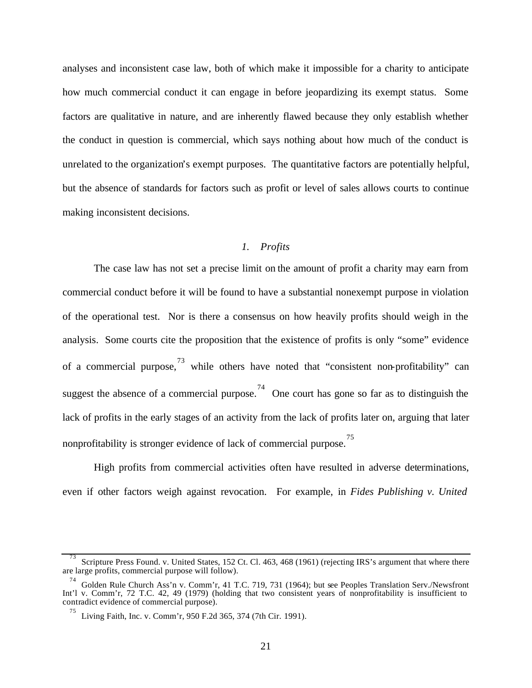analyses and inconsistent case law, both of which make it impossible for a charity to anticipate how much commercial conduct it can engage in before jeopardizing its exempt status. Some factors are qualitative in nature, and are inherently flawed because they only establish whether the conduct in question is commercial, which says nothing about how much of the conduct is unrelated to the organization's exempt purposes. The quantitative factors are potentially helpful, but the absence of standards for factors such as profit or level of sales allows courts to continue making inconsistent decisions.

### *1. Profits*

The case law has not set a precise limit on the amount of profit a charity may earn from commercial conduct before it will be found to have a substantial nonexempt purpose in violation of the operational test. Nor is there a consensus on how heavily profits should weigh in the analysis. Some courts cite the proposition that the existence of profits is only "some" evidence of a commercial purpose,  $^{73}$  while others have noted that "consistent non-profitability" can suggest the absence of a commercial purpose.<sup>74</sup> One court has gone so far as to distinguish the lack of profits in the early stages of an activity from the lack of profits later on, arguing that later nonprofitability is stronger evidence of lack of commercial purpose. 75

High profits from commercial activities often have resulted in adverse determinations, even if other factors weigh against revocation. For example, in *Fides Publishing v. United* 

<sup>&</sup>lt;sup>73</sup> Scripture Press Found. v. United States, 152 Ct. Cl. 463, 468 (1961) (rejecting IRS's argument that where there are large profits, commercial purpose will follow).

<sup>74</sup> Golden Rule Church Ass'n v. Comm'r, 41 T.C. 719, 731 (1964); but see Peoples Translation Serv./Newsfront Int'l v. Comm'r, 72 T.C. 42, 49 (1979) (holding that two consistent years of nonprofitability is insufficient to contradict evidence of commercial purpose).

<sup>75</sup> Living Faith, Inc. v. Comm'r, 950 F.2d 365, 374 (7th Cir. 1991).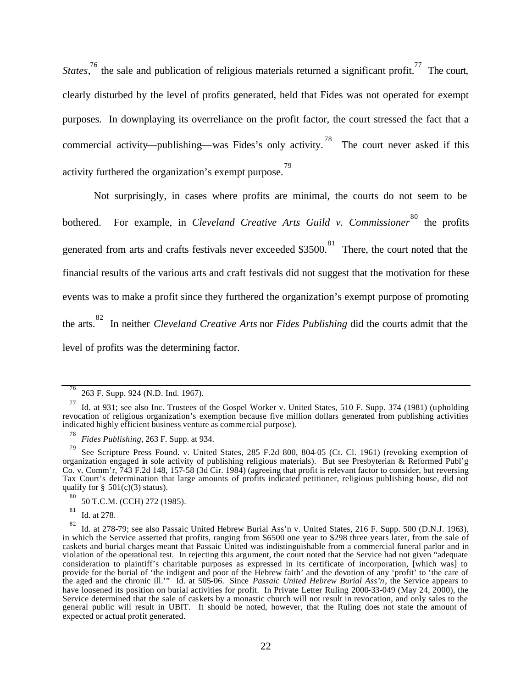*States*,<sup>76</sup> the sale and publication of religious materials returned a significant profit.<sup>77</sup> The court, clearly disturbed by the level of profits generated, held that Fides was not operated for exempt purposes. In downplaying its overreliance on the profit factor, the court stressed the fact that a commercial activity—publishing—was Fides's only activity.<sup>78</sup> The court never asked if this activity furthered the organization's exempt purpose. 79

Not surprisingly, in cases where profits are minimal, the courts do not seem to be bothered. For example, in *Cleveland Creative Arts Guild v. Commissioner*<sup>80</sup> the profits generated from arts and crafts festivals never exceeded \$3500.<sup>81</sup> There, the court noted that the financial results of the various arts and craft festivals did not suggest that the motivation for these events was to make a profit since they furthered the organization's exempt purpose of promoting the arts. 82 In neither *Cleveland Creative Arts* nor *Fides Publishing* did the courts admit that the level of profits was the determining factor.

80 50 T.C.M. (CCH) 272 (1985).

81 Id. at 278.

<sup>76</sup> 263 F. Supp. 924 (N.D. Ind. 1967).

<sup>77</sup> Id. at 931; see also Inc. Trustees of the Gospel Worker v. United States, 510 F. Supp. 374 (1981) (upholding revocation of religious organization's exemption because five million dollars generated from publishing activities indicated highly efficient business venture as commercial purpose).

<sup>78</sup> *Fides Publishing*, 263 F. Supp. at 934.

<sup>79</sup> See Scripture Press Found. v. United States, 285 F.2d 800, 804-05 (Ct. Cl. 1961) (revoking exemption of organization engaged in sole activity of publishing religious materials). But see Presbyterian & Reformed Publ'g Co. v. Comm'r, 743 F.2d 148, 157-58 (3d Cir. 1984) (agreeing that profit is relevant factor to consider, but reversing Tax Court's determination that large amounts of profits indicated petitioner, religious publishing house, did not qualify for  $\S$  501(c)(3) status).

<sup>82</sup> Id. at 278-79; see also Passaic United Hebrew Burial Ass'n v. United States, 216 F. Supp. 500 (D.N.J. 1963), in which the Service asserted that profits, ranging from \$6500 one year to \$298 three years later, from the sale of caskets and burial charges meant that Passaic United was indistinguishable from a commercial funeral parlor and in violation of the operational test. In rejecting this argument, the court noted that the Service had not given "adequate consideration to plaintiff's charitable purposes as expressed in its certificate of incorporation, [which was] to provide for the burial of 'the indigent and poor of the Hebrew faith' and the devotion of any 'profit' to 'the care of the aged and the chronic ill.'" Id. at 505-06. Since *Passaic United Hebrew Burial Ass'n*, the Service appears to have loosened its position on burial activities for profit. In Private Letter Ruling 2000-33-049 (May 24, 2000), the Service determined that the sale of caskets by a monastic church will not result in revocation, and only sales to the general public will result in UBIT. It should be noted, however, that the Ruling does not state the amount of expected or actual profit generated.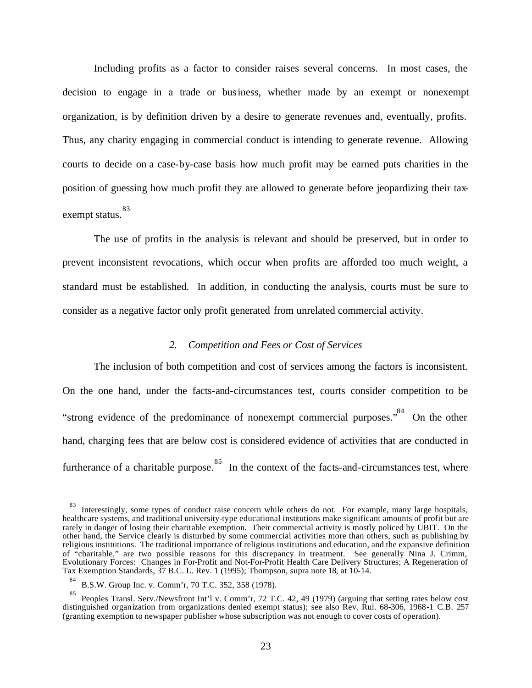Including profits as a factor to consider raises several concerns. In most cases, the decision to engage in a trade or business, whether made by an exempt or nonexempt organization, is by definition driven by a desire to generate revenues and, eventually, profits. Thus, any charity engaging in commercial conduct is intending to generate revenue. Allowing courts to decide on a case-by-case basis how much profit may be earned puts charities in the position of guessing how much profit they are allowed to generate before jeopardizing their taxexempt status. 83

The use of profits in the analysis is relevant and should be preserved, but in order to prevent inconsistent revocations, which occur when profits are afforded too much weight, a standard must be established. In addition, in conducting the analysis, courts must be sure to consider as a negative factor only profit generated from unrelated commercial activity.

## *2. Competition and Fees or Cost of Services*

The inclusion of both competition and cost of services among the factors is inconsistent. On the one hand, under the facts-and-circumstances test, courts consider competition to be "strong evidence of the predominance of nonexempt commercial purposes."<sup>84</sup> On the other hand, charging fees that are below cost is considered evidence of activities that are conducted in furtherance of a charitable purpose.<sup>85</sup> In the context of the facts-and-circumstances test, where

<sup>83</sup> Interestingly, some types of conduct raise concern while others do not. For example, many large hospitals, healthcare systems, and traditional university-type educational institutions make significant amounts of profit but are rarely in danger of losing their charitable exemption. Their commercial activity is mostly policed by UBIT. On the other hand, the Service clearly is disturbed by some commercial activities more than others, such as publishing by religious institutions. The traditional importance of religious institutions and education, and the expansive definition of "charitable," are two possible reasons for this discrepancy in treatment. See generally Nina J. Crimm, Evolutionary Forces: Changes in For-Profit and Not-For-Profit Health Care Delivery Structures; A Regeneration of Tax Exemption Standards, 37 B.C. L. Rev. 1 (1995); Thompson, supra note 18, at 10-14.

<sup>84</sup> B.S.W. Group Inc. v. Comm'r, 70 T.C. 352, 358 (1978).

<sup>85</sup> Peoples Transl. Serv./Newsfront Int'l v. Comm'r, 72 T.C. 42, 49 (1979) (arguing that setting rates below cost distinguished organization from organizations denied exempt status); see also Rev. Rul. 68-306, 1968-1 C.B. 257 (granting exemption to newspaper publisher whose subscription was not enough to cover costs of operation).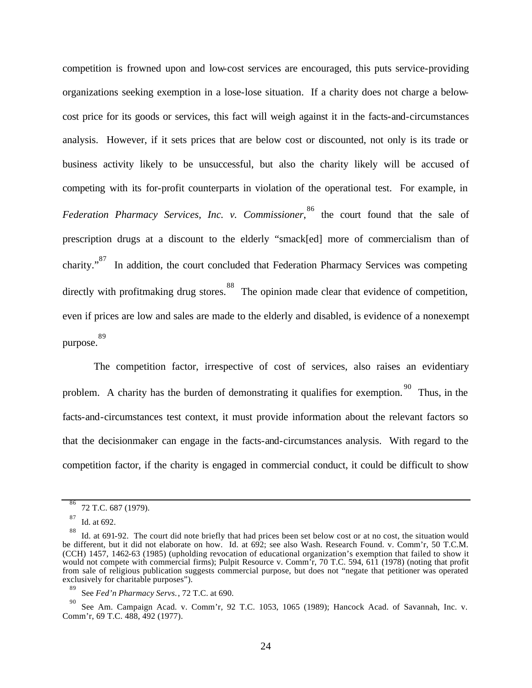competition is frowned upon and low-cost services are encouraged, this puts service-providing organizations seeking exemption in a lose-lose situation. If a charity does not charge a belowcost price for its goods or services, this fact will weigh against it in the facts-and-circumstances analysis. However, if it sets prices that are below cost or discounted, not only is its trade or business activity likely to be unsuccessful, but also the charity likely will be accused of competing with its for-profit counterparts in violation of the operational test. For example, in *Federation Pharmacy Services, Inc. v. Commissioner*, 86 the court found that the sale of prescription drugs at a discount to the elderly "smack[ed] more of commercialism than of charity."<sup>87</sup> In addition, the court concluded that Federation Pharmacy Services was competing directly with profitmaking drug stores.<sup>88</sup> The opinion made clear that evidence of competition, even if prices are low and sales are made to the elderly and disabled, is evidence of a nonexempt purpose. 89

The competition factor, irrespective of cost of services, also raises an evidentiary problem. A charity has the burden of demonstrating it qualifies for exemption. <sup>90</sup> Thus, in the facts-and-circumstances test context, it must provide information about the relevant factors so that the decisionmaker can engage in the facts-and-circumstances analysis. With regard to the competition factor, if the charity is engaged in commercial conduct, it could be difficult to show

<sup>86</sup> 72 T.C. 687 (1979).

<sup>87</sup> Id. at 692.

<sup>88</sup> Id. at 691-92. The court did note briefly that had prices been set below cost or at no cost, the situation would be different, but it did not elaborate on how. Id. at 692; see also Wash. Research Found. v. Comm'r, 50 T.C.M. (CCH) 1457, 1462-63 (1985) (upholding revocation of educational organization's exemption that failed to show it would not compete with commercial firms); Pulpit Resource v. Comm'r, 70 T.C. 594, 611 (1978) (noting that profit from sale of religious publication suggests commercial purpose, but does not "negate that petitioner was operated exclusively for charitable purposes").

<sup>89</sup> See *Fed'n Pharmacy Servs.*, 72 T.C. at 690.

<sup>90</sup> See Am. Campaign Acad. v. Comm'r, 92 T.C. 1053, 1065 (1989); Hancock Acad. of Savannah, Inc. v. Comm'r, 69 T.C. 488, 492 (1977).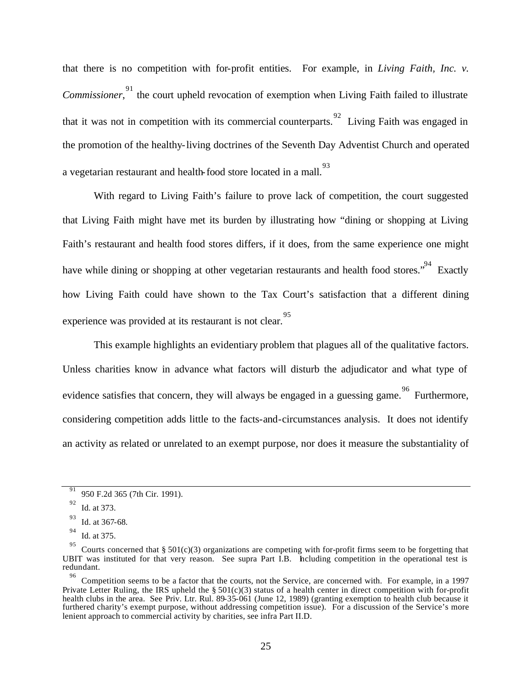that there is no competition with for-profit entities. For example, in *Living Faith, Inc. v.* Commissioner,<sup>91</sup> the court upheld revocation of exemption when Living Faith failed to illustrate that it was not in competition with its commercial counterparts.  $^{92}$  Living Faith was engaged in the promotion of the healthy-living doctrines of the Seventh Day Adventist Church and operated a vegetarian restaurant and health-food store located in a mall.<sup>93</sup>

With regard to Living Faith's failure to prove lack of competition, the court suggested that Living Faith might have met its burden by illustrating how "dining or shopping at Living Faith's restaurant and health food stores differs, if it does, from the same experience one might have while dining or shopping at other vegetarian restaurants and health food stores."<sup>94</sup> Exactly how Living Faith could have shown to the Tax Court's satisfaction that a different dining experience was provided at its restaurant is not clear. 95

This example highlights an evidentiary problem that plagues all of the qualitative factors. Unless charities know in advance what factors will disturb the adjudicator and what type of evidence satisfies that concern, they will always be engaged in a guessing game. <sup>96</sup> Furthermore, considering competition adds little to the facts-and-circumstances analysis. It does not identify an activity as related or unrelated to an exempt purpose, nor does it measure the substantiality of

<sup>91</sup> 950 F.2d 365 (7th Cir. 1991).

<sup>92</sup> Id. at 373.

<sup>93</sup> Id. at 367-68.

<sup>94</sup> Id. at 375.

<sup>95</sup> Courts concerned that  $\S 501(c)(3)$  organizations are competing with for-profit firms seem to be forgetting that UBIT was instituted for that very reason. See supra Part I.B. Including competition in the operational test is redundant.

<sup>96</sup> Competition seems to be a factor that the courts, not the Service, are concerned with. For example, in a 1997 Private Letter Ruling, the IRS upheld the  $\S 501(c)(3)$  status of a health center in direct competition with for-profit health clubs in the area. See Priv. Ltr. Rul. 89-35-061 (June 12, 1989) (granting exemption to health club because it furthered charity's exempt purpose, without addressing competition issue). For a discussion of the Service's more lenient approach to commercial activity by charities, see infra Part II.D.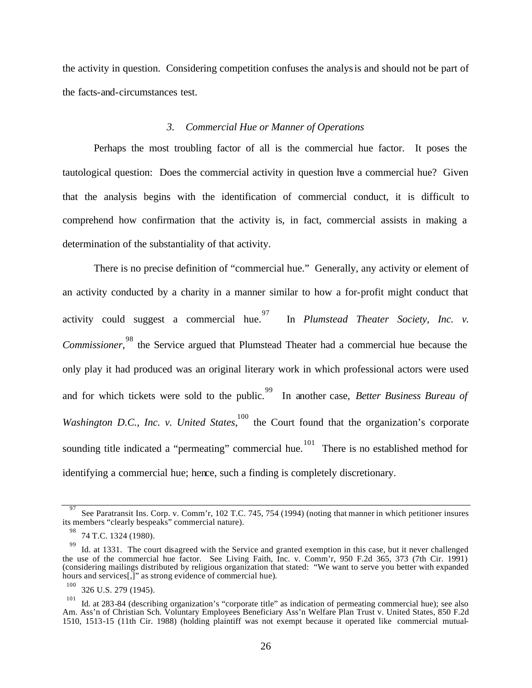the activity in question. Considering competition confuses the analysis and should not be part of the facts-and-circumstances test.

#### *3. Commercial Hue or Manner of Operations*

Perhaps the most troubling factor of all is the commercial hue factor. It poses the tautological question: Does the commercial activity in question have a commercial hue? Given that the analysis begins with the identification of commercial conduct, it is difficult to comprehend how confirmation that the activity is, in fact, commercial assists in making a determination of the substantiality of that activity.

There is no precise definition of "commercial hue." Generally, any activity or element of an activity conducted by a charity in a manner similar to how a for-profit might conduct that activity could suggest a commercial hue.<sup>97</sup> In *Plumstead Theater Society, Inc. v.* Commissioner,<sup>98</sup> the Service argued that Plumstead Theater had a commercial hue because the only play it had produced was an original literary work in which professional actors were used and for which tickets were sold to the public. 99 In another case, *Better Business Bureau of Washington D.C., Inc. v. United States*, <sup>100</sup> the Court found that the organization's corporate sounding title indicated a "permeating" commercial hue.  $101$  There is no established method for identifying a commercial hue; hence, such a finding is completely discretionary.

<sup>97</sup> See Paratransit Ins. Corp. v. Comm'r, 102 T.C. 745, 754 (1994) (noting that manner in which petitioner insures its members "clearly bespeaks" commercial nature).

<sup>98</sup> 74 T.C. 1324 (1980).

<sup>99</sup> Id. at 1331. The court disagreed with the Service and granted exemption in this case, but it never challenged the use of the commercial hue factor. See Living Faith, Inc. v. Comm'r, 950 F.2d 365, 373 (7th Cir. 1991) (considering mailings distributed by religious organization that stated: "We want to serve you better with expanded hours and services<sup>[1]</sup>" as strong evidence of commercial hue).

<sup>100</sup> 326 U.S. 279 (1945).

<sup>101</sup> Id. at 283-84 (describing organization's "corporate title" as indication of permeating commercial hue); see also Am. Ass'n of Christian Sch. Voluntary Employees Beneficiary Ass'n Welfare Plan Trust v. United States, 850 F.2d 1510, 1513-15 (11th Cir. 1988) (holding plaintiff was not exempt because it operated like commercial mutual-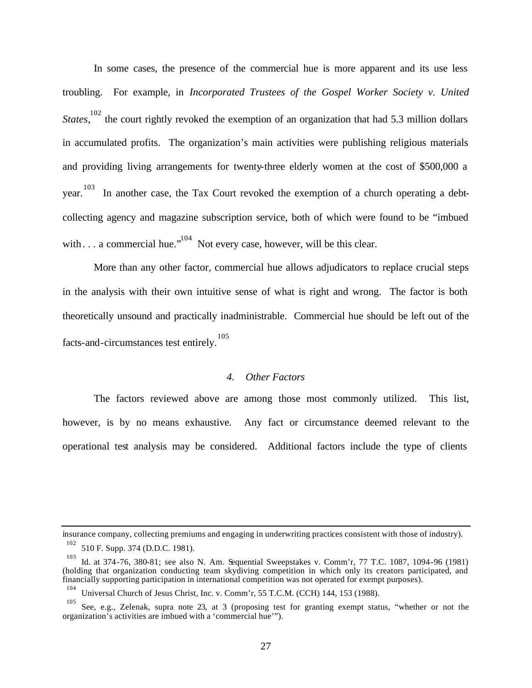In some cases, the presence of the commercial hue is more apparent and its use less troubling. For example, in *Incorporated Trustees of the Gospel Worker Society v. United* States,<sup>102</sup> the court rightly revoked the exemption of an organization that had 5.3 million dollars in accumulated profits. The organization's main activities were publishing religious materials and providing living arrangements for twenty-three elderly women at the cost of \$500,000 a year.  $103$  In another case, the Tax Court revoked the exemption of a church operating a debtcollecting agency and magazine subscription service, both of which were found to be "imbued with . . . a commercial hue."<sup>104</sup> Not every case, however, will be this clear.

More than any other factor, commercial hue allows adjudicators to replace crucial steps in the analysis with their own intuitive sense of what is right and wrong. The factor is both theoretically unsound and practically inadministrable. Commercial hue should be left out of the facts-and-circumstances test entirely. 105

#### *4. Other Factors*

The factors reviewed above are among those most commonly utilized. This list, however, is by no means exhaustive. Any fact or circumstance deemed relevant to the operational test analysis may be considered. Additional factors include the type of clients

insurance company, collecting premiums and engaging in underwriting practices consistent with those of industry).

<sup>102</sup> 510 F. Supp. 374 (D.D.C. 1981).

<sup>103</sup> Id. at 374-76, 380-81; see also N. Am. Sequential Sweepstakes v. Comm'r, 77 T.C. 1087, 1094-96 (1981) (holding that organization conducting team skydiving competition in which only its creators participated, and financially supporting participation in international competition was not operated for exempt purposes).

<sup>104</sup> Universal Church of Jesus Christ, Inc. v. Comm'r, 55 T.C.M. (CCH) 144, 153 (1988).

<sup>105</sup> See, e.g., Zelenak, supra note 23, at 3 (proposing test for granting exempt status, "whether or not the organization's activities are imbued with a 'commercial hue'").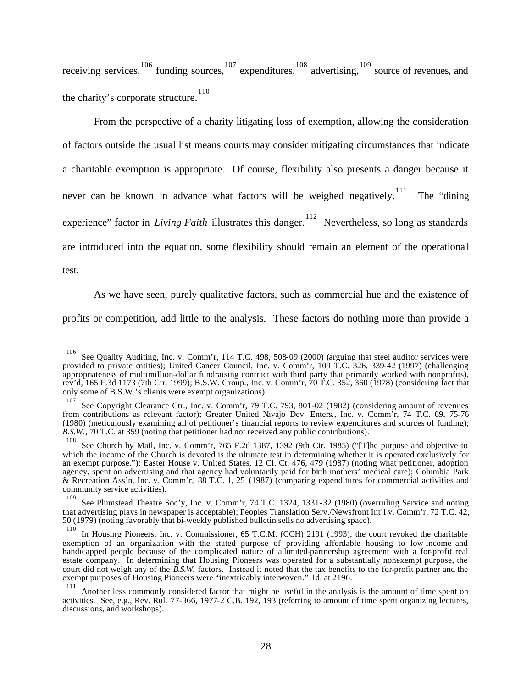receiving services, 106 funding sources, 107 expenditures, 108 advertising, 109 source of revenues, and the charity's corporate structure. 110

From the perspective of a charity litigating loss of exemption, allowing the consideration of factors outside the usual list means courts may consider mitigating circumstances that indicate a charitable exemption is appropriate. Of course, flexibility also presents a danger because it never can be known in advance what factors will be weighed negatively.<sup>111</sup> The "dining experience" factor in *Living Faith* illustrates this danger.<sup>112</sup> Nevertheless, so long as standards are introduced into the equation, some flexibility should remain an element of the operationa l

test.

As we have seen, purely qualitative factors, such as commercial hue and the existence of

profits or competition, add little to the analysis. These factors do nothing more than provide a

<sup>106</sup> See Quality Auditing, Inc. v. Comm'r, 114 T.C. 498, 508-09 (2000) (arguing that steel auditor services were provided to private entities); United Cancer Council, Inc. v. Comm'r, 109 T.C. 326, 339-42 (1997) (challenging appropriateness of multimillion-dollar fundraising contract with third party that primarily worked with nonprofits), rev'd, 165 F.3d 1173 (7th Cir. 1999); B.S.W. Group., Inc. v. Comm'r, 70 T.C. 352, 360 (1978) (considering fact that only some of B.S.W.'s clients were exempt organizations).

<sup>107</sup> See Copyright Clearance Ctr., Inc. v. Comm'r, 79 T.C. 793, 801-02 (1982) (considering amount of revenues from contributions as relevant factor); Greater United Navajo Dev. Enters., Inc. v. Comm'r, 74 T.C. 69, 75-76 (1980) (meticulously examining all of petitioner's financial reports to review expenditures and sources of funding); *B.S.W.*, 70 T.C. at 359 (noting that petitioner had not received any public contributions).

<sup>108</sup> See Church by Mail, Inc. v. Comm'r, 765 F.2d 1387, 1392 (9th Cir. 1985) ("[T]he purpose and objective to which the income of the Church is devoted is the ultimate test in determining whether it is operated exclusively for an exempt purpose."); Easter House v. United States, 12 Cl. Ct. 476, 479 (1987) (noting what petitioner, adoption agency, spent on advertising and that agency had voluntarily paid for birth mothers' medical care); Columbia Park & Recreation Ass'n, Inc. v. Comm'r, 88 T.C. 1, 25 (1987) (comparing expenditures for commercial activities and community service activities).

<sup>109</sup> See Plumstead Theatre Soc'y, Inc. v. Comm'r, 74 T.C. 1324, 1331-32 (1980) (overruling Service and noting that advertising plays in newspaper is acceptable); Peoples Translation Serv./Newsfront Int'l v. Comm'r, 72 T.C. 42, 50 (1979) (noting favorably that bi-weekly published bulletin sells no advertising space).

<sup>110</sup> In Housing Pioneers, Inc. v. Commissioner, 65 T.C.M. (CCH) 2191 (1993), the court revoked the charitable exemption of an organization with the stated purpose of providing affordable housing to low-income and handicapped people because of the complicated nature of a limited-partnership agreement with a for-profit real estate company. In determining that Housing Pioneers was operated for a substantially nonexempt purpose, the court did not weigh any of the *B.S.W.* factors. Instead it noted that the tax benefits to the for-profit partner and the exempt purposes of Housing Pioneers were "inextricably interwoven." Id. at 2196.

<sup>111</sup> Another less commonly considered factor that might be useful in the analysis is the amount of time spent on activities. See, e.g., Rev. Rul. 77-366, 1977-2 C.B. 192, 193 (referring to amount of time spent organizing lectures, discussions, and workshops).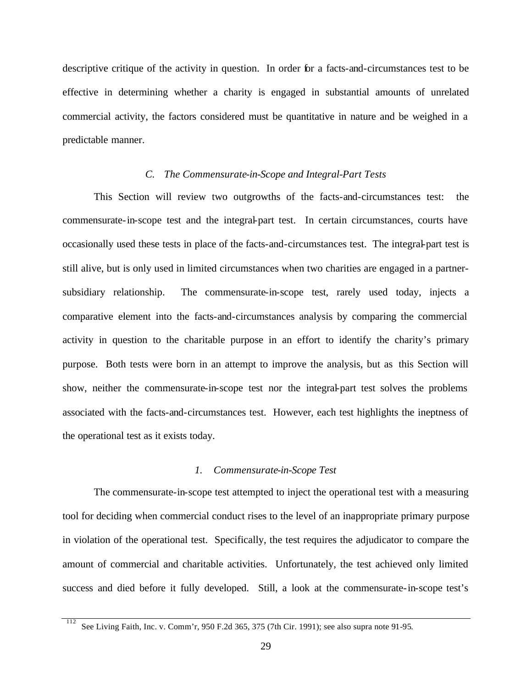descriptive critique of the activity in question. In order for a facts-and-circumstances test to be effective in determining whether a charity is engaged in substantial amounts of unrelated commercial activity, the factors considered must be quantitative in nature and be weighed in a predictable manner.

#### *C. The Commensurate-in-Scope and Integral-Part Tests*

This Section will review two outgrowths of the facts-and-circumstances test: the commensurate-in-scope test and the integral-part test. In certain circumstances, courts have occasionally used these tests in place of the facts-and-circumstances test. The integral-part test is still alive, but is only used in limited circumstances when two charities are engaged in a partnersubsidiary relationship. The commensurate-in-scope test, rarely used today, injects a comparative element into the facts-and-circumstances analysis by comparing the commercial activity in question to the charitable purpose in an effort to identify the charity's primary purpose. Both tests were born in an attempt to improve the analysis, but as this Section will show, neither the commensurate-in-scope test nor the integral-part test solves the problems associated with the facts-and-circumstances test. However, each test highlights the ineptness of the operational test as it exists today.

#### *1. Commensurate-in-Scope Test*

The commensurate-in-scope test attempted to inject the operational test with a measuring tool for deciding when commercial conduct rises to the level of an inappropriate primary purpose in violation of the operational test. Specifically, the test requires the adjudicator to compare the amount of commercial and charitable activities. Unfortunately, the test achieved only limited success and died before it fully developed. Still, a look at the commensurate-in-scope test's

<sup>112</sup> See Living Faith, Inc. v. Comm'r, 950 F.2d 365, 375 (7th Cir. 1991); see also supra note 91-95.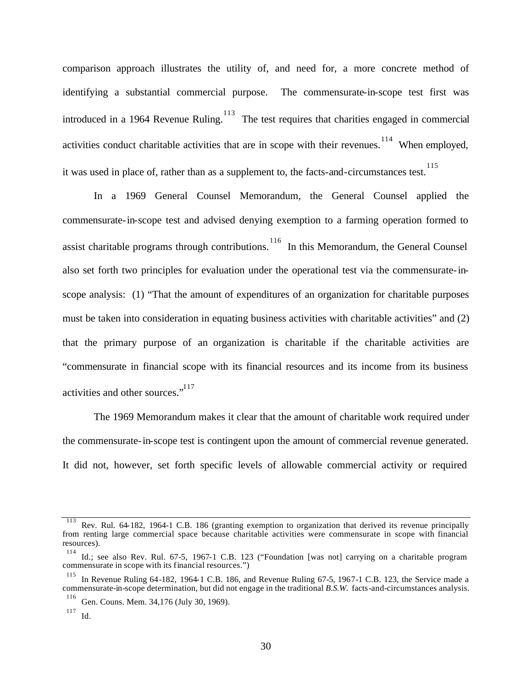comparison approach illustrates the utility of, and need for, a more concrete method of identifying a substantial commercial purpose. The commensurate-in-scope test first was introduced in a 1964 Revenue Ruling.  $113$  The test requires that charities engaged in commercial activities conduct charitable activities that are in scope with their revenues.<sup>114</sup> When employed, it was used in place of, rather than as a supplement to, the facts-and-circumstances test. 115

In a 1969 General Counsel Memorandum, the General Counsel applied the commensurate-in-scope test and advised denying exemption to a farming operation formed to assist charitable programs through contributions.<sup>116</sup> In this Memorandum, the General Counsel also set forth two principles for evaluation under the operational test via the commensurate-inscope analysis: (1) "That the amount of expenditures of an organization for charitable purposes must be taken into consideration in equating business activities with charitable activities" and (2) that the primary purpose of an organization is charitable if the charitable activities are "commensurate in financial scope with its financial resources and its income from its business activities and other sources."<sup>117</sup>

The 1969 Memorandum makes it clear that the amount of charitable work required under the commensurate-in-scope test is contingent upon the amount of commercial revenue generated. It did not, however, set forth specific levels of allowable commercial activity or required

<sup>113</sup> Rev. Rul. 64-182, 1964-1 C.B. 186 (granting exemption to organization that derived its revenue principally from renting large commercial space because charitable activities were commensurate in scope with financial resources).

<sup>114</sup> Id.; see also Rev. Rul. 67-5, 1967-1 C.B. 123 ("Foundation [was not] carrying on a charitable program commensurate in scope with its financial resources.")

<sup>115</sup> In Revenue Ruling 64-182, 1964-1 C.B. 186, and Revenue Ruling 67-5, 1967-1 C.B. 123, the Service made a commensurate-in-scope determination, but did not engage in the traditional *B.S.W.* facts-and-circumstances analysis.

<sup>116</sup> Gen. Couns. Mem. 34,176 (July 30, 1969).

<sup>117</sup> Id.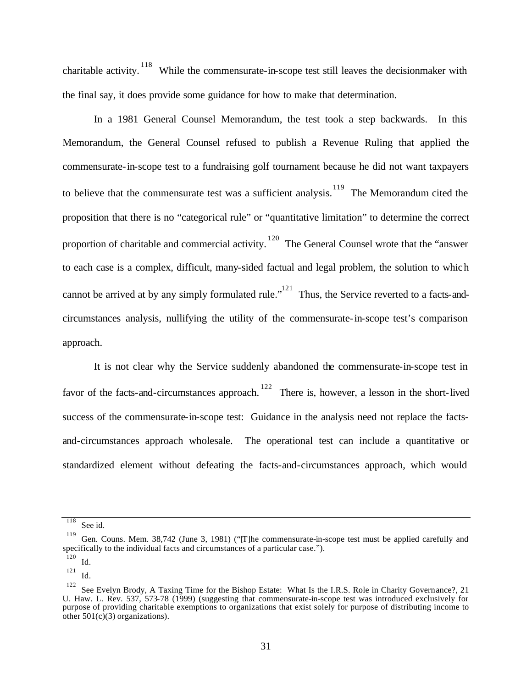charitable activity.<sup>118</sup> While the commensurate-in-scope test still leaves the decisionmaker with the final say, it does provide some guidance for how to make that determination.

In a 1981 General Counsel Memorandum, the test took a step backwards. In this Memorandum, the General Counsel refused to publish a Revenue Ruling that applied the commensurate-in-scope test to a fundraising golf tournament because he did not want taxpayers to believe that the commensurate test was a sufficient analysis.<sup>119</sup> The Memorandum cited the proposition that there is no "categorical rule" or "quantitative limitation" to determine the correct proportion of charitable and commercial activity.<sup>120</sup> The General Counsel wrote that the "answer" to each case is a complex, difficult, many-sided factual and legal problem, the solution to which cannot be arrived at by any simply formulated rule."<sup>121</sup> Thus, the Service reverted to a facts-andcircumstances analysis, nullifying the utility of the commensurate-in-scope test's comparison approach.

It is not clear why the Service suddenly abandoned the commensurate-in-scope test in favor of the facts-and-circumstances approach.<sup>122</sup> There is, however, a lesson in the short-lived success of the commensurate-in-scope test: Guidance in the analysis need not replace the factsand-circumstances approach wholesale. The operational test can include a quantitative or standardized element without defeating the facts-and-circumstances approach, which would

<sup>118</sup> See id.

<sup>119</sup> Gen. Couns. Mem. 38,742 (June 3, 1981) ("[T]he commensurate-in-scope test must be applied carefully and specifically to the individual facts and circumstances of a particular case.").

<sup>120</sup> Id.

<sup>121</sup> Id.

<sup>122</sup>

See Evelyn Brody, A Taxing Time for the Bishop Estate: What Is the I.R.S. Role in Charity Governance?, 21 U. Haw. L. Rev. 537, 573-78 (1999) (suggesting that commensurate-in-scope test was introduced exclusively for purpose of providing charitable exemptions to organizations that exist solely for purpose of distributing income to other  $501(c)(3)$  organizations).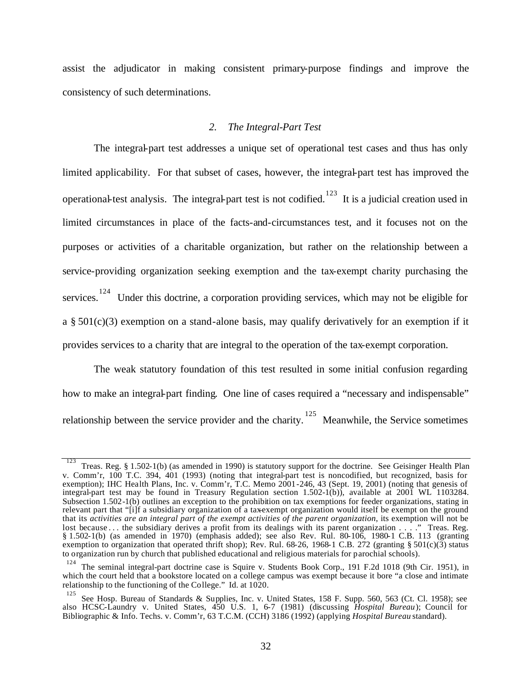assist the adjudicator in making consistent primary-purpose findings and improve the consistency of such determinations.

#### *2. The Integral-Part Test*

The integral-part test addresses a unique set of operational test cases and thus has only limited applicability. For that subset of cases, however, the integral-part test has improved the operational-test analysis. The integral-part test is not codified.<sup>123</sup> It is a judicial creation used in limited circumstances in place of the facts-and-circumstances test, and it focuses not on the purposes or activities of a charitable organization, but rather on the relationship between a service-providing organization seeking exemption and the tax-exempt charity purchasing the services.<sup>124</sup> Under this doctrine, a corporation providing services, which may not be eligible for a  $\S 501(c)(3)$  exemption on a stand-alone basis, may qualify derivatively for an exemption if it provides services to a charity that are integral to the operation of the tax-exempt corporation.

The weak statutory foundation of this test resulted in some initial confusion regarding how to make an integral-part finding. One line of cases required a "necessary and indispensable" relationship between the service provider and the charity.<sup>125</sup> Meanwhile, the Service sometimes

<sup>123</sup> Treas. Reg. § 1.502-1(b) (as amended in 1990) is statutory support for the doctrine. See Geisinger Health Plan v. Comm'r, 100 T.C. 394, 401 (1993) (noting that integral-part test is noncodified, but recognized, basis for exemption); IHC Health Plans, Inc. v. Comm'r, T.C. Memo 2001-246, 43 (Sept. 19, 2001) (noting that genesis of integral-part test may be found in Treasury Regulation section 1.502-1(b)), available at 2001 WL 1103284. Subsection 1.502-1(b) outlines an exception to the prohibition on tax exemptions for feeder organizations, stating in relevant part that "[i]f a subsidiary organization of a tax-exempt organization would itself be exempt on the ground that its *activities are an integral part of the exempt activities of the parent organization*, its exemption will not be lost because ... the subsidiary derives a profit from its dealings with its parent organization ...." Treas. Reg. § 1.502-1(b) (as amended in 1970) (emphasis added); see also Rev. Rul. 80-106, 1980-1 C.B. 113 (granting exemption to organization that operated thrift shop); Rev. Rul. 68-26, 1968-1 C.B. 272 (granting § 501(c)(3) status to organization run by church that published educational and religious materials for parochial schools).

<sup>124</sup> The seminal integral-part doctrine case is Squire v. Students Book Corp., 191 F.2d 1018 (9th Cir. 1951), in which the court held that a bookstore located on a college campus was exempt because it bore "a close and intimate relationship to the functioning of the College." Id. at 1020.

<sup>125</sup> See Hosp. Bureau of Standards & Supplies, Inc. v. United States, 158 F. Supp. 560, 563 (Ct. Cl. 1958); see also HCSC-Laundry v. United States, 450 U.S. 1, 6-7 (1981) (discussing *Hospital Bureau*); Council for Bibliographic & Info. Techs. v. Comm'r, 63 T.C.M. (CCH) 3186 (1992) (applying *Hospital Bureau* standard).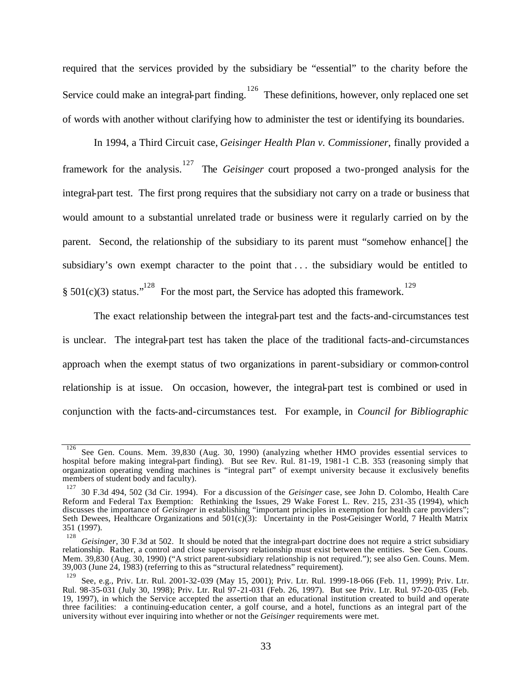required that the services provided by the subsidiary be "essential" to the charity before the Service could make an integral-part finding.<sup>126</sup> These definitions, however, only replaced one set of words with another without clarifying how to administer the test or identifying its boundaries.

In 1994, a Third Circuit case, *Geisinger Health Plan v. Commissioner*, finally provided a framework for the analysis. 127 The *Geisinger* court proposed a two-pronged analysis for the integral-part test. The first prong requires that the subsidiary not carry on a trade or business that would amount to a substantial unrelated trade or business were it regularly carried on by the parent. Second, the relationship of the subsidiary to its parent must "somehow enhance[] the subsidiary's own exempt character to the point that . . . the subsidiary would be entitled to § 501(c)(3) status."<sup>128</sup> For the most part, the Service has adopted this framework.<sup>129</sup>

The exact relationship between the integral-part test and the facts-and-circumstances test is unclear. The integral-part test has taken the place of the traditional facts-and-circumstances approach when the exempt status of two organizations in parent-subsidiary or common-control relationship is at issue. On occasion, however, the integral-part test is combined or used in conjunction with the facts-and-circumstances test. For example, in *Council for Bibliographic* 

<sup>126</sup> See Gen. Couns. Mem. 39,830 (Aug. 30, 1990) (analyzing whether HMO provides essential services to hospital before making integral-part finding). But see Rev. Rul. 81-19, 1981-1 C.B. 353 (reasoning simply that organization operating vending machines is "integral part" of exempt university because it exclusively benefits members of student body and faculty).

<sup>127</sup> 30 F.3d 494, 502 (3d Cir. 1994). For a discussion of the *Geisinger* case, see John D. Colombo, Health Care Reform and Federal Tax Exemption: Rethinking the Issues, 29 Wake Forest L. Rev. 215, 231-35 (1994), which discusses the importance of *Geisinger* in establishing "important principles in exemption for health care providers"; Seth Dewees, Healthcare Organizations and  $501(c)(3)$ : Uncertainty in the Post-Geisinger World, 7 Health Matrix 351 (1997).

<sup>128</sup> *Geisinger*, 30 F.3d at 502. It should be noted that the integral-part doctrine does not require a strict subsidiary relationship. Rather, a control and close supervisory relationship must exist between the entities. See Gen. Couns. Mem. 39,830 (Aug. 30, 1990) ("A strict parent-subsidiary relationship is not required."); see also Gen. Couns. Mem. 39,003 (June 24, 1983) (referring to this as "structural relatedness" requirement).

<sup>129</sup> See, e.g., Priv. Ltr. Rul. 2001-32-039 (May 15, 2001); Priv. Ltr. Rul. 1999-18-066 (Feb. 11, 1999); Priv. Ltr. Rul. 98-35-031 (July 30, 1998); Priv. Ltr. Rul 97-21-031 (Feb. 26, 1997). But see Priv. Ltr. Rul. 97-20-035 (Feb. 19, 1997), in which the Service accepted the assertion that an educational institution created to build and operate three facilities: a continuing-education center, a golf course, and a hotel, functions as an integral part of the university without ever inquiring into whether or not the *Geisinger* requirements were met.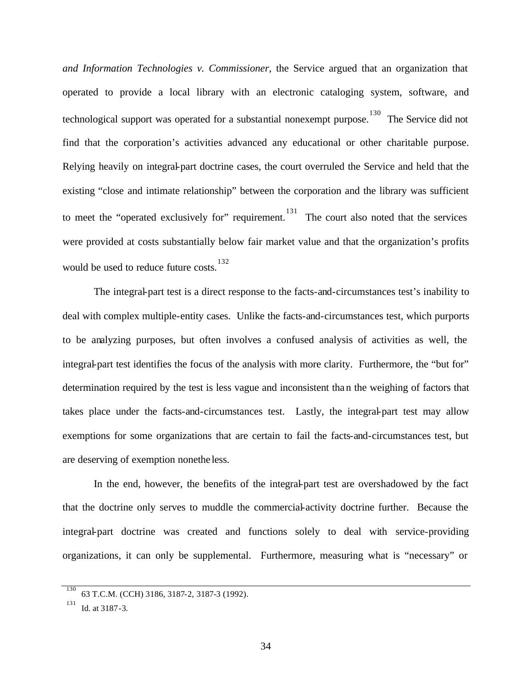*and Information Technologies v. Commissioner*, the Service argued that an organization that operated to provide a local library with an electronic cataloging system, software, and technological support was operated for a substantial nonexempt purpose.<sup>130</sup> The Service did not find that the corporation's activities advanced any educational or other charitable purpose. Relying heavily on integral-part doctrine cases, the court overruled the Service and held that the existing "close and intimate relationship" between the corporation and the library was sufficient to meet the "operated exclusively for" requirement.<sup>131</sup> The court also noted that the services were provided at costs substantially below fair market value and that the organization's profits would be used to reduce future costs. 132

The integral-part test is a direct response to the facts-and-circumstances test's inability to deal with complex multiple-entity cases. Unlike the facts-and-circumstances test, which purports to be analyzing purposes, but often involves a confused analysis of activities as well, the integral-part test identifies the focus of the analysis with more clarity. Furthermore, the "but for" determination required by the test is less vague and inconsistent than the weighing of factors that takes place under the facts-and-circumstances test. Lastly, the integral-part test may allow exemptions for some organizations that are certain to fail the facts-and-circumstances test, but are deserving of exemption nonethe less.

In the end, however, the benefits of the integral-part test are overshadowed by the fact that the doctrine only serves to muddle the commercial-activity doctrine further. Because the integral-part doctrine was created and functions solely to deal with service-providing organizations, it can only be supplemental. Furthermore, measuring what is "necessary" or

<sup>130</sup> 63 T.C.M. (CCH) 3186, 3187-2, 3187-3 (1992).

<sup>131</sup> Id. at 3187-3.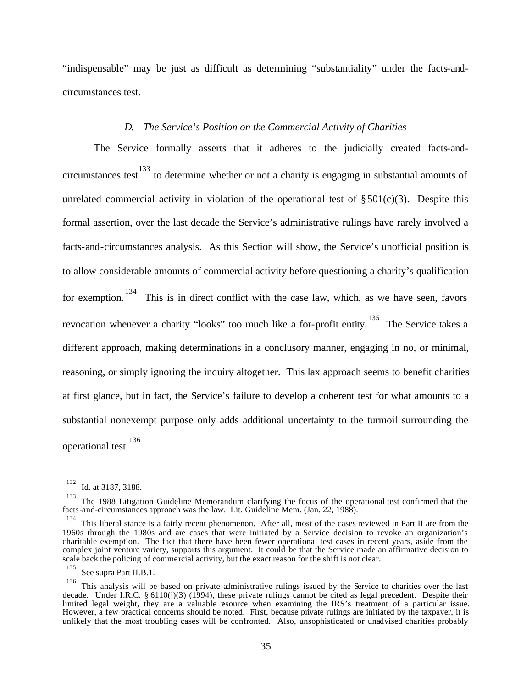"indispensable" may be just as difficult as determining "substantiality" under the facts-andcircumstances test.

#### *D. The Service's Position on the Commercial Activity of Charities*

The Service formally asserts that it adheres to the judicially created facts-andcircumstances test<sup>133</sup> to determine whether or not a charity is engaging in substantial amounts of unrelated commercial activity in violation of the operational test of  $\S 501(c)(3)$ . Despite this formal assertion, over the last decade the Service's administrative rulings have rarely involved a facts-and-circumstances analysis. As this Section will show, the Service's unofficial position is to allow considerable amounts of commercial activity before questioning a charity's qualification for exemption.<sup>134</sup> This is in direct conflict with the case law, which, as we have seen, favors revocation whenever a charity "looks" too much like a for-profit entity.<sup>135</sup> The Service takes a different approach, making determinations in a conclusory manner, engaging in no, or minimal, reasoning, or simply ignoring the inquiry altogether. This lax approach seems to benefit charities at first glance, but in fact, the Service's failure to develop a coherent test for what amounts to a substantial nonexempt purpose only adds additional uncertainty to the turmoil surrounding the operational test. 136

<sup>132</sup> Id. at 3187, 3188.

<sup>133</sup> The 1988 Litigation Guideline Memorandum clarifying the focus of the operational test confirmed that the facts-and-circumstances approach was the law. Lit. Guideline Mem. (Jan. 22, 1988).

<sup>134</sup> This liberal stance is a fairly recent phenomenon. After all, most of the cases reviewed in Part II are from the 1960s through the 1980s and are cases that were initiated by a Service decision to revoke an organization's charitable exemption. The fact that there have been fewer operational test cases in recent years, aside from the complex joint venture variety, supports this argument. It could be that the Service made an affirmative decision to scale back the policing of commercial activity, but the exact reason for the shift is not clear.

<sup>135</sup> See supra Part II.B.1.

<sup>136</sup> This analysis will be based on private administrative rulings issued by the Service to charities over the last decade. Under I.R.C. § 6110(j)(3) (1994), these private rulings cannot be cited as legal precedent. Despite their limited legal weight, they are a valuable resource when examining the IRS's treatment of a particular issue. However, a few practical concerns should be noted. First, because private rulings are initiated by the taxpayer, it is unlikely that the most troubling cases will be confronted. Also, unsophisticated or unadvised charities probably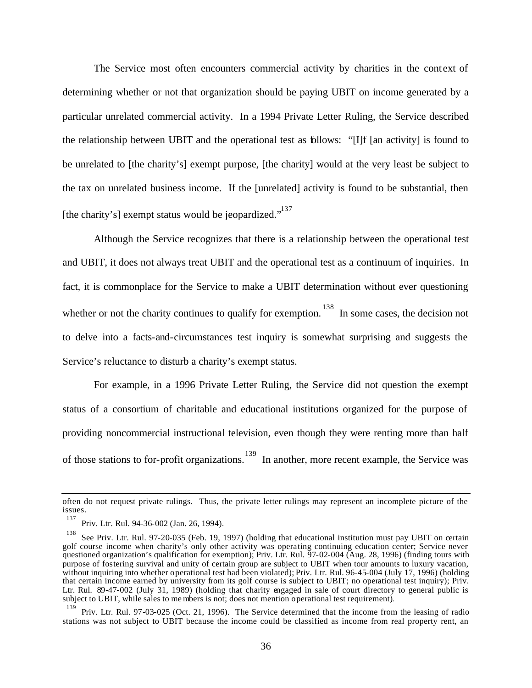The Service most often encounters commercial activity by charities in the cont ext of determining whether or not that organization should be paying UBIT on income generated by a particular unrelated commercial activity. In a 1994 Private Letter Ruling, the Service described the relationship between UBIT and the operational test as follows: "[I]f [an activity] is found to be unrelated to [the charity's] exempt purpose, [the charity] would at the very least be subject to the tax on unrelated business income. If the [unrelated] activity is found to be substantial, then [the charity's] exempt status would be jeopardized."<sup>137</sup>

Although the Service recognizes that there is a relationship between the operational test and UBIT, it does not always treat UBIT and the operational test as a continuum of inquiries. In fact, it is commonplace for the Service to make a UBIT determination without ever questioning whether or not the charity continues to qualify for exemption.<sup>138</sup> In some cases, the decision not to delve into a facts-and-circumstances test inquiry is somewhat surprising and suggests the Service's reluctance to disturb a charity's exempt status.

For example, in a 1996 Private Letter Ruling, the Service did not question the exempt status of a consortium of charitable and educational institutions organized for the purpose of providing noncommercial instructional television, even though they were renting more than half of those stations to for-profit organizations.<sup>139</sup> In another, more recent example, the Service was

often do not request private rulings. Thus, the private letter rulings may represent an incomplete picture of the issues. 137

Priv. Ltr. Rul. 94-36-002 (Jan. 26, 1994).

<sup>138</sup> See Priv. Ltr. Rul. 97-20-035 (Feb. 19, 1997) (holding that educational institution must pay UBIT on certain golf course income when charity's only other activity was operating continuing education center; Service never questioned organization's qualification for exemption); Priv. Ltr. Rul. 97-02-004 (Aug. 28, 1996) (finding tours with purpose of fostering survival and unity of certain group are subject to UBIT when tour amounts to luxury vacation, without inquiring into whether operational test had been violated); Priv. Ltr. Rul. 96-45-004 (July 17, 1996) (holding that certain income earned by university from its golf course is subject to UBIT; no operational test inquiry); Priv. Ltr. Rul. 89-47-002 (July 31, 1989) (holding that charity engaged in sale of court directory to general public is subject to UBIT, while sales to me mbers is not; does not mention operational test requirement).

<sup>139</sup> Priv. Ltr. Rul. 97-03-025 (Oct. 21, 1996). The Service determined that the income from the leasing of radio stations was not subject to UBIT because the income could be classified as income from real property rent, an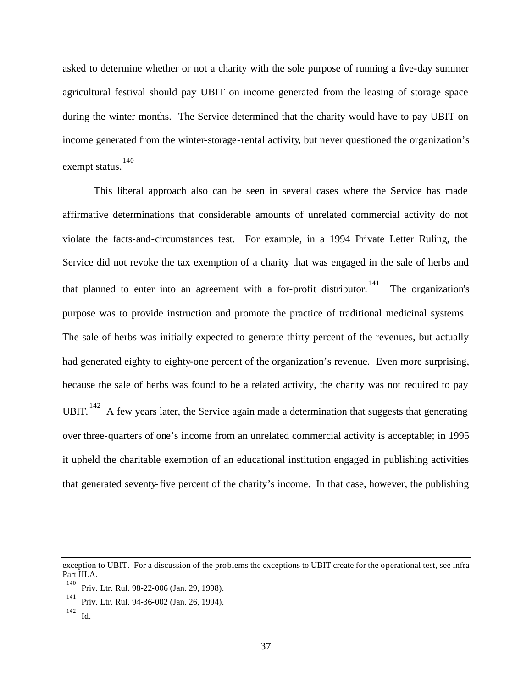asked to determine whether or not a charity with the sole purpose of running a five-day summer agricultural festival should pay UBIT on income generated from the leasing of storage space during the winter months. The Service determined that the charity would have to pay UBIT on income generated from the winter-storage-rental activity, but never questioned the organization's exempt status. 140

This liberal approach also can be seen in several cases where the Service has made affirmative determinations that considerable amounts of unrelated commercial activity do not violate the facts-and-circumstances test. For example, in a 1994 Private Letter Ruling, the Service did not revoke the tax exemption of a charity that was engaged in the sale of herbs and that planned to enter into an agreement with a for-profit distributor. 141 The organization's purpose was to provide instruction and promote the practice of traditional medicinal systems. The sale of herbs was initially expected to generate thirty percent of the revenues, but actually had generated eighty to eighty-one percent of the organization's revenue. Even more surprising, because the sale of herbs was found to be a related activity, the charity was not required to pay UBIT.  $142$  A few years later, the Service again made a determination that suggests that generating over three-quarters of one's income from an unrelated commercial activity is acceptable; in 1995 it upheld the charitable exemption of an educational institution engaged in publishing activities that generated seventy-five percent of the charity's income. In that case, however, the publishing

exception to UBIT. For a discussion of the problems the exceptions to UBIT create for the operational test, see infra Part III.A.

<sup>140</sup> Priv. Ltr. Rul. 98-22-006 (Jan. 29, 1998).

<sup>141</sup> Priv. Ltr. Rul. 94-36-002 (Jan. 26, 1994).

<sup>142</sup> Id.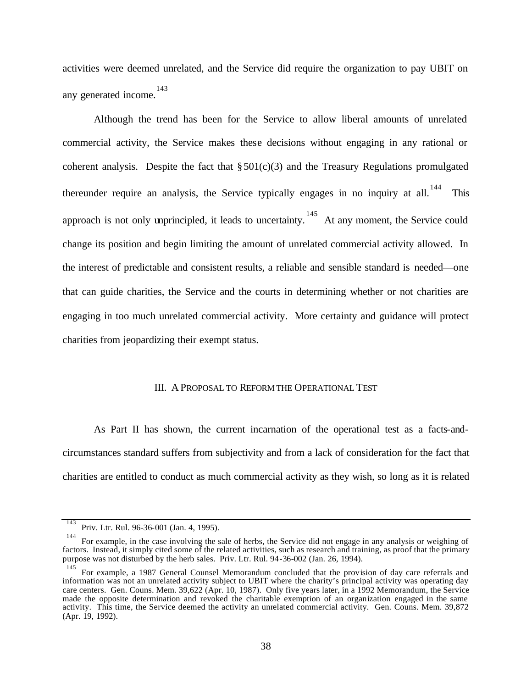activities were deemed unrelated, and the Service did require the organization to pay UBIT on any generated income. 143

Although the trend has been for the Service to allow liberal amounts of unrelated commercial activity, the Service makes these decisions without engaging in any rational or coherent analysis. Despite the fact that  $\S 501(c)(3)$  and the Treasury Regulations promulgated thereunder require an analysis, the Service typically engages in no inquiry at all.<sup>144</sup> This approach is not only unprincipled, it leads to uncertainty.<sup>145</sup> At any moment, the Service could change its position and begin limiting the amount of unrelated commercial activity allowed. In the interest of predictable and consistent results, a reliable and sensible standard is needed—one that can guide charities, the Service and the courts in determining whether or not charities are engaging in too much unrelated commercial activity. More certainty and guidance will protect charities from jeopardizing their exempt status.

#### III. A PROPOSAL TO REFORM THE OPERATIONAL TEST

As Part II has shown, the current incarnation of the operational test as a facts-andcircumstances standard suffers from subjectivity and from a lack of consideration for the fact that charities are entitled to conduct as much commercial activity as they wish, so long as it is related

<sup>143</sup> Priv. Ltr. Rul. 96-36-001 (Jan. 4, 1995).

<sup>144</sup> For example, in the case involving the sale of herbs, the Service did not engage in any analysis or weighing of factors. Instead, it simply cited some of the related activities, such as research and training, as proof that the primary purpose was not disturbed by the herb sales. Priv. Ltr. Rul. 94-36-002 (Jan. 26, 1994).

<sup>145</sup> For example, a 1987 General Counsel Memorandum concluded that the provision of day care referrals and information was not an unrelated activity subject to UBIT where the charity's principal activity was operating day care centers. Gen. Couns. Mem. 39,622 (Apr. 10, 1987). Only five years later, in a 1992 Memorandum, the Service made the opposite determination and revoked the charitable exemption of an organization engaged in the same activity. This time, the Service deemed the activity an unrelated commercial activity. Gen. Couns. Mem. 39,872 (Apr. 19, 1992).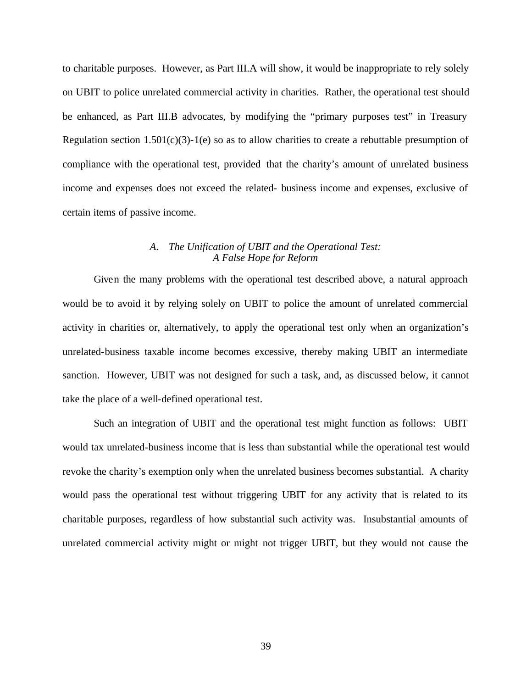to charitable purposes. However, as Part III.A will show, it would be inappropriate to rely solely on UBIT to police unrelated commercial activity in charities. Rather, the operational test should be enhanced, as Part III.B advocates, by modifying the "primary purposes test" in Treasury Regulation section  $1.501(c)(3)-1(e)$  so as to allow charities to create a rebuttable presumption of compliance with the operational test, provided that the charity's amount of unrelated business income and expenses does not exceed the related- business income and expenses, exclusive of certain items of passive income.

#### *A. The Unification of UBIT and the Operational Test: A False Hope for Reform*

Given the many problems with the operational test described above, a natural approach would be to avoid it by relying solely on UBIT to police the amount of unrelated commercial activity in charities or, alternatively, to apply the operational test only when an organization's unrelated-business taxable income becomes excessive, thereby making UBIT an intermediate sanction. However, UBIT was not designed for such a task, and, as discussed below, it cannot take the place of a well-defined operational test.

Such an integration of UBIT and the operational test might function as follows: UBIT would tax unrelated-business income that is less than substantial while the operational test would revoke the charity's exemption only when the unrelated business becomes substantial. A charity would pass the operational test without triggering UBIT for any activity that is related to its charitable purposes, regardless of how substantial such activity was. Insubstantial amounts of unrelated commercial activity might or might not trigger UBIT, but they would not cause the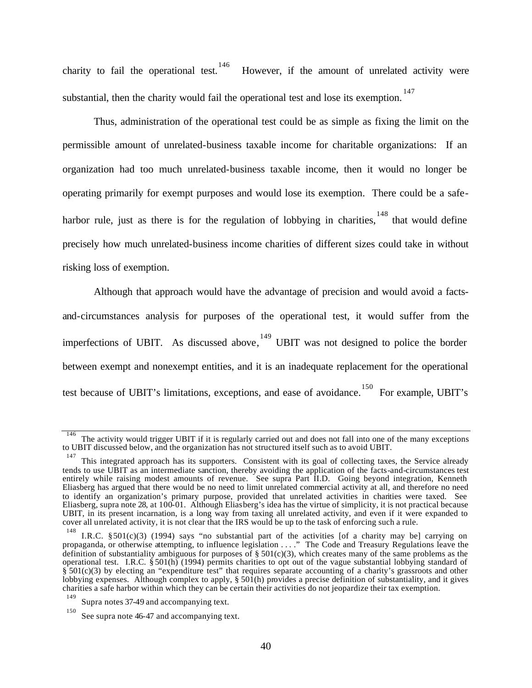charity to fail the operational test.<sup>146</sup> However, if the amount of unrelated activity were substantial, then the charity would fail the operational test and lose its exemption.<sup>147</sup>

Thus, administration of the operational test could be as simple as fixing the limit on the permissible amount of unrelated-business taxable income for charitable organizations: If an organization had too much unrelated-business taxable income, then it would no longer be operating primarily for exempt purposes and would lose its exemption. There could be a safeharbor rule, just as there is for the regulation of lobbying in charities,  $148$  that would define precisely how much unrelated-business income charities of different sizes could take in without risking loss of exemption.

Although that approach would have the advantage of precision and would avoid a factsand-circumstances analysis for purposes of the operational test, it would suffer from the imperfections of UBIT. As discussed above,  $149$  UBIT was not designed to police the border between exempt and nonexempt entities, and it is an inadequate replacement for the operational test because of UBIT's limitations, exceptions, and ease of avoidance. <sup>150</sup> For example, UBIT's

<sup>146</sup> The activity would trigger UBIT if it is regularly carried out and does not fall into one of the many exceptions to UBIT discussed below, and the organization has not structured itself such as to avoid UBIT.

<sup>147</sup> This integrated approach has its supporters. Consistent with its goal of collecting taxes, the Service already tends to use UBIT as an intermediate sanction, thereby avoiding the application of the facts-and-circumstances test entirely while raising modest amounts of revenue. See supra Part II.D. Going beyond integration, Kenneth Eliasberg has argued that there would be no need to limit unrelated commercial activity at all, and therefore no need to identify an organization's primary purpose, provided that unrelated activities in charities were taxed. See Eliasberg, supra note 28, at 100-01. Although Eliasberg's idea has the virtue of simplicity, it is not practical because UBIT, in its present incarnation, is a long way from taxing all unrelated activity, and even if it were expanded to cover all unrelated activity, it is not clear that the IRS would be up to the task of enforcing such a rule.

<sup>&</sup>lt;sup>148</sup> I.R.C. §501(c)(3) (1994) says "no substantial part of the activities [of a charity may be] carrying on propaganda, or otherwise attempting, to influence legislation . . . ." The Code and Treasury Regulations leave the definition of substantiality ambiguous for purposes of  $\S 501(c)(3)$ , which creates many of the same problems as the operational test. I.R.C. § 501(h) (1994) permits charities to opt out of the vague substantial lobbying standard of  $\S$  501(c)(3) by electing an "expenditure test" that requires separate accounting of a charity's grassroots and other lobbying expenses. Although complex to apply,  $\S 501(h)$  provides a precise definition of substantiality, and it gives charities a safe harbor within which they can be certain their activities do not jeopardize their tax exemption. 149

Supra notes 37-49 and accompanying text.

<sup>150</sup> See supra note 46-47 and accompanying text.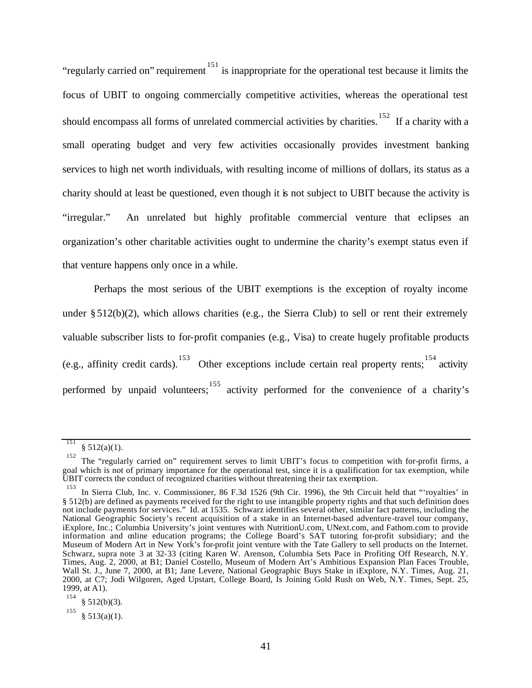"regularly carried on" requirement <sup>151</sup> is inappropriate for the operational test because it limits the focus of UBIT to ongoing commercially competitive activities, whereas the operational test should encompass all forms of unrelated commercial activities by charities.<sup>152</sup> If a charity with a small operating budget and very few activities occasionally provides investment banking services to high net worth individuals, with resulting income of millions of dollars, its status as a charity should at least be questioned, even though it is not subject to UBIT because the activity is "irregular." An unrelated but highly profitable commercial venture that eclipses an organization's other charitable activities ought to undermine the charity's exempt status even if that venture happens only once in a while.

Perhaps the most serious of the UBIT exemptions is the exception of royalty income under  $\S 512(b)(2)$ , which allows charities (e.g., the Sierra Club) to sell or rent their extremely valuable subscriber lists to for-profit companies (e.g., Visa) to create hugely profitable products (e.g., affinity credit cards). <sup>153</sup> Other exceptions include certain real property rents; <sup>154</sup> activity performed by unpaid volunteers; activity performed for the convenience of a charity's

<sup>151</sup>  $§ 512(a)(1).$ 

<sup>152</sup> The "regularly carried on" requirement serves to limit UBIT's focus to competition with for-profit firms, a goal which is not of primary importance for the operational test, since it is a qualification for tax exemption, while UBIT corrects the conduct of recognized charities without threatening their tax exemption.

<sup>153</sup> In Sierra Club, Inc. v. Commissioner, 86 F.3d 1526 (9th Cir. 1996), the 9th Circuit held that "'royalties' in § 512(b) are defined as payments received for the right to use intangible property rights and that such definition does not include payments for services." Id. at 1535. Schwarz identifies several other, similar fact patterns, including the National Geographic Society's recent acquisition of a stake in an Internet-based adventure-travel tour company, iExplore, Inc.; Columbia University's joint ventures with NutritionU.com, UNext.com, and Fathom.com to provide information and online education programs; the College Board's SAT tutoring for-profit subsidiary; and the Museum of Modern Art in New York's for-profit joint venture with the Tate Gallery to sell products on the Internet. Schwarz, supra note 3 at 32-33 (citing Karen W. Arenson, Columbia Sets Pace in Profiting Off Research, N.Y. Times, Aug. 2, 2000, at B1; Daniel Costello, Museum of Modern Art's Ambitious Expansion Plan Faces Trouble, Wall St. J., June 7, 2000, at B1; Jane Levere, National Geographic Buys Stake in iExplore, N.Y. Times, Aug. 21, 2000, at C7; Jodi Wilgoren, Aged Upstart, College Board, Is Joining Gold Rush on Web, N.Y. Times, Sept. 25, 1999, at A1).

<sup>154</sup> § 512(b)(3).

<sup>155</sup>  $§ 513(a)(1).$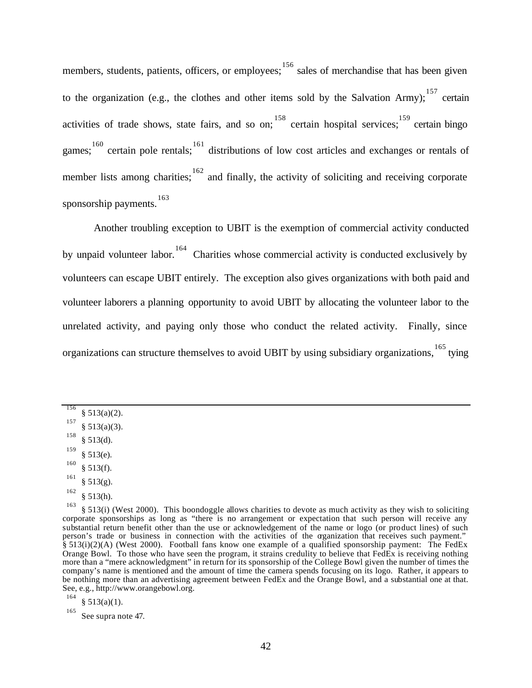members, students, patients, officers, or employees; <sup>156</sup> sales of merchandise that has been given to the organization (e.g., the clothes and other items sold by the Salvation Army);  $^{157}$  certain activities of trade shows, state fairs, and so on; <sup>158</sup> certain hospital services; <sup>159</sup> certain bingo games;  $160$  certain pole rentals;  $161$  distributions of low cost articles and exchanges or rentals of member lists among charities;  $162$  and finally, the activity of soliciting and receiving corporate sponsorship payments. 163

Another troubling exception to UBIT is the exemption of commercial activity conducted by unpaid volunteer labor.<sup>164</sup> Charities whose commercial activity is conducted exclusively by volunteers can escape UBIT entirely. The exception also gives organizations with both paid and volunteer laborers a planning opportunity to avoid UBIT by allocating the volunteer labor to the unrelated activity, and paying only those who conduct the related activity. Finally, since organizations can structure themselves to avoid UBIT by using subsidiary organizations, <sup>165</sup> tying

156

- 159 § 513(e).
- 160 § 513(f).
- 161  $§ 513(g).$
- 162  $§ 513(h).$

164  $§ 513(a)(1).$ 

 $§ 513(a)(2).$ 157

 $§ 513(a)(3).$ 158

<sup>§</sup> 513(d).

<sup>163</sup> § 513(i) (West 2000). This boondoggle allows charities to devote as much activity as they wish to soliciting corporate sponsorships as long as "there is no arrangement or expectation that such person will receive any substantial return benefit other than the use or acknowledgement of the name or logo (or product lines) of such person's trade or business in connection with the activities of the organization that receives such payment." § 513(i)(2)(A) (West 2000). Football fans know one example of a qualified sponsorship payment: The FedEx Orange Bowl. To those who have seen the program, it strains credulity to believe that FedEx is receiving nothing more than a "mere acknowledgment" in return for its sponsorship of the College Bowl given the number of times the company's name is mentioned and the amount of time the camera spends focusing on its logo. Rather, it appears to be nothing more than an advertising agreement between FedEx and the Orange Bowl, and a substantial one at that. See, e.g., http://www.orangebowl.org.

<sup>165</sup> See supra note 47.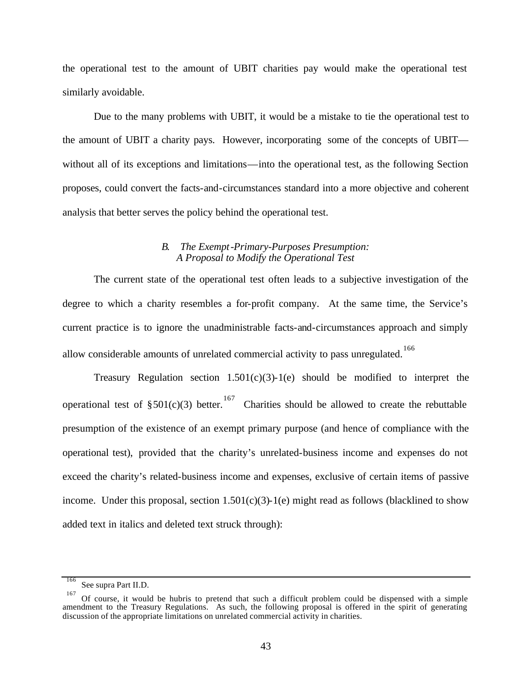the operational test to the amount of UBIT charities pay would make the operational test similarly avoidable.

Due to the many problems with UBIT, it would be a mistake to tie the operational test to the amount of UBIT a charity pays. However, incorporating some of the concepts of UBIT without all of its exceptions and limitations—into the operational test, as the following Section proposes, could convert the facts-and-circumstances standard into a more objective and coherent analysis that better serves the policy behind the operational test.

#### *B. The Exempt-Primary-Purposes Presumption: A Proposal to Modify the Operational Test*

The current state of the operational test often leads to a subjective investigation of the degree to which a charity resembles a for-profit company. At the same time, the Service's current practice is to ignore the unadministrable facts-and-circumstances approach and simply allow considerable amounts of unrelated commercial activity to pass unregulated. <sup>166</sup>

Treasury Regulation section  $1.501(c)(3)$ -1(e) should be modified to interpret the operational test of  $\S 501(c)(3)$  better.<sup>167</sup> Charities should be allowed to create the rebuttable presumption of the existence of an exempt primary purpose (and hence of compliance with the operational test), provided that the charity's unrelated-business income and expenses do not exceed the charity's related-business income and expenses, exclusive of certain items of passive income. Under this proposal, section  $1.501(c)(3)$ -1(e) might read as follows (blacklined to show added text in italics and deleted text struck through):

<sup>166</sup> See supra Part II.D.

<sup>167</sup> Of course, it would be hubris to pretend that such a difficult problem could be dispensed with a simple amendment to the Treasury Regulations. As such, the following proposal is offered in the spirit of generating discussion of the appropriate limitations on unrelated commercial activity in charities.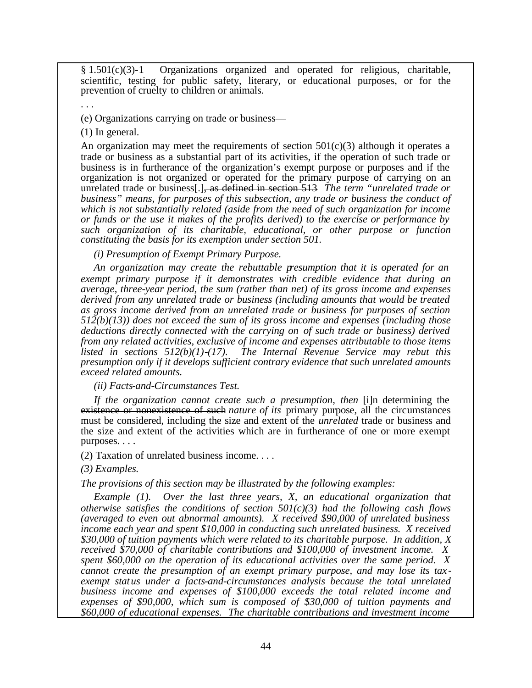§ 1.501(c)(3)-1 Organizations organized and operated for religious, charitable, scientific, testing for public safety, literary, or educational purposes, or for the prevention of cruelty to children or animals.

(e) Organizations carrying on trade or business—

(1) In general.

. . .

An organization may meet the requirements of section  $501(c)(3)$  although it operates a trade or business as a substantial part of its activities, if the operation of such trade or business is in furtherance of the organization's exempt purpose or purposes and if the organization is not organized or operated for the primary purpose of carrying on an unrelated trade or business[.], as defined in section 513 *The term "unrelated trade or business" means, for purposes of this subsection, any trade or business the conduct of which is not substantially related (aside from the need of such organization for income or funds or the use it makes of the profits derived) to the exercise or performance by such organization of its charitable, educational, or other purpose or function constituting the basis for its exemption under section 501.* 

*(i) Presumption of Exempt Primary Purpose.*

*An organization may create the rebuttable presumption that it is operated for an exempt primary purpose if it demonstrates with credible evidence that during an average, three-year period, the sum (rather than net) of its gross income and expenses derived from any unrelated trade or business (including amounts that would be treated as gross income derived from an unrelated trade or business for purposes of section 512(b)(13)) does not exceed the sum of its gross income and expenses (including those deductions directly connected with the carrying on of such trade or business) derived from any related activities, exclusive of income and expenses attributable to those items listed in sections 512(b)(1)-(17). The Internal Revenue Service may rebut this presumption only if it develops sufficient contrary evidence that such unrelated amounts exceed related amounts.* 

*(ii) Facts-and-Circumstances Test.*

*If the organization cannot create such a presumption, then* [i]n determining the existence or nonexistence of such *nature of its* primary purpose, all the circumstances must be considered, including the size and extent of the *unrelated* trade or business and the size and extent of the activities which are in furtherance of one or more exempt purposes. . . .

(2) Taxation of unrelated business income. . . .

*(3) Examples.* 

*The provisions of this section may be illustrated by the following examples:*

*Example (1). Over the last three years, X, an educational organization that otherwise satisfies the conditions of section 501(c)(3) had the following cash flows (averaged to even out abnormal amounts). X received \$90,000 of unrelated business income each year and spent \$10,000 in conducting such unrelated business. X received \$30,000 of tuition payments which were related to its charitable purpose. In addition, X received \$70,000 of charitable contributions and \$100,000 of investment income. X spent \$60,000 on the operation of its educational activities over the same period. X cannot create the presumption of an exempt primary purpose, and may lose its tax exempt status under a facts-and-circumstances analysis because the total unrelated business income and expenses of \$100,000 exceeds the total related income and expenses of \$90,000, which sum is composed of \$30,000 of tuition payments and \$60,000 of educational expenses. The charitable contributions and investment income*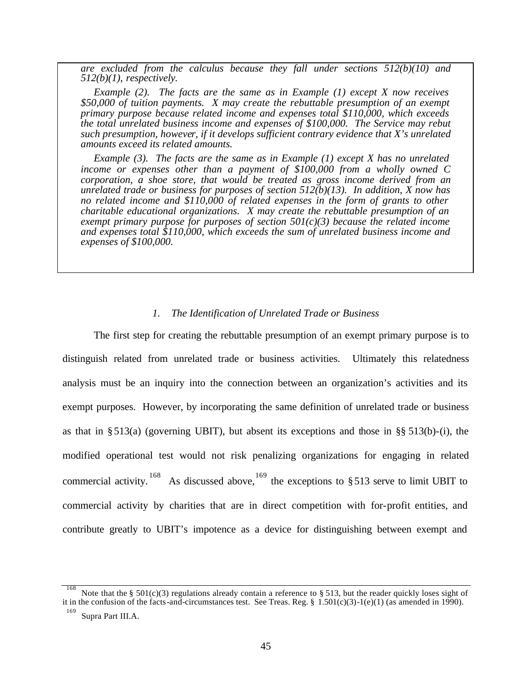*are excluded from the calculus because they fall under sections 512(b)(10) and 512(b)(1), respectively.*

*Example (2). The facts are the same as in Example (1) except X now receives \$50,000 of tuition payments. X may create the rebuttable presumption of an exempt primary purpose because related income and expenses total \$110,000, which exceeds the total unrelated business income and expenses of \$100,000. The Service may rebut such presumption, however, if it develops sufficient contrary evidence that X's unrelated amounts exceed its related amounts.*

*Example (3). The facts are the same as in Example (1) except X has no unrelated income or expenses other than a payment of \$100,000 from a wholly owned C corporation, a shoe store, that would be treated as gross income derived from an unrelated trade or business for purposes of section 512(b)(13). In addition, X now has no related income and \$110,000 of related expenses in the form of grants to other charitable educational organizations. X may create the rebuttable presumption of an exempt primary purpose for purposes of section 501(c)(3) because the related income and expenses total \$110,000, which exceeds the sum of unrelated business income and expenses of \$100,000.*

#### *1. The Identification of Unrelated Trade or Business*

The first step for creating the rebuttable presumption of an exempt primary purpose is to distinguish related from unrelated trade or business activities. Ultimately this relatedness analysis must be an inquiry into the connection between an organization's activities and its exempt purposes. However, by incorporating the same definition of unrelated trade or business as that in § 513(a) (governing UBIT), but absent its exceptions and those in §§ 513(b)-(i), the modified operational test would not risk penalizing organizations for engaging in related commercial activity. <sup>168</sup> As discussed above, <sup>169</sup> the exceptions to §513 serve to limit UBIT to commercial activity by charities that are in direct competition with for-profit entities, and contribute greatly to UBIT's impotence as a device for distinguishing between exempt and

<sup>168</sup> Note that the § 501(c)(3) regulations already contain a reference to § 513, but the reader quickly loses sight of it in the confusion of the facts-and-circumstances test. See Treas. Reg. §  $1.501(c)(3)-1(e)(1)$  (as amended in 1990).

<sup>169</sup> Supra Part III.A.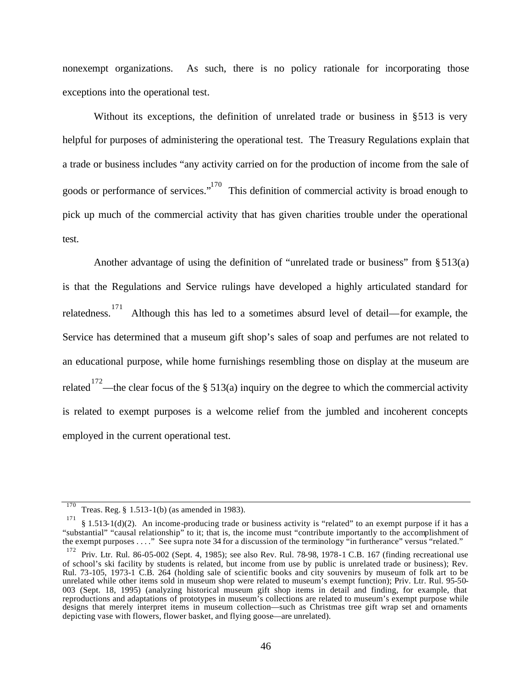nonexempt organizations. As such, there is no policy rationale for incorporating those exceptions into the operational test.

Without its exceptions, the definition of unrelated trade or business in §513 is very helpful for purposes of administering the operational test. The Treasury Regulations explain that a trade or business includes "any activity carried on for the production of income from the sale of goods or performance of services."<sup>170</sup> This definition of commercial activity is broad enough to pick up much of the commercial activity that has given charities trouble under the operational test.

Another advantage of using the definition of "unrelated trade or business" from §513(a) is that the Regulations and Service rulings have developed a highly articulated standard for relatedness. 171 Although this has led to a sometimes absurd level of detail—for example, the Service has determined that a museum gift shop's sales of soap and perfumes are not related to an educational purpose, while home furnishings resembling those on display at the museum are related <sup>172</sup>—the clear focus of the § 513(a) inquiry on the degree to which the commercial activity is related to exempt purposes is a welcome relief from the jumbled and incoherent concepts employed in the current operational test.

<sup>170</sup> Treas. Reg. § 1.513-1(b) (as amended in 1983).

<sup>171</sup> § 1.513-1(d)(2). An income-producing trade or business activity is "related" to an exempt purpose if it has a "substantial" "causal relationship" to it; that is, the income must "contribute importantly to the accomplishment of the exempt purposes . . . ." See supra note 34 for a discussion of the terminology "in furtherance" versus "related." 172

Priv. Ltr. Rul. 86-05-002 (Sept. 4, 1985); see also Rev. Rul. 78-98, 1978-1 C.B. 167 (finding recreational use of school's ski facility by students is related, but income from use by public is unrelated trade or business); Rev. Rul. 73-105, 1973-1 C.B. 264 (holding sale of scientific books and city souvenirs by museum of folk art to be unrelated while other items sold in museum shop were related to museum's exempt function); Priv. Ltr. Rul. 95-50- 003 (Sept. 18, 1995) (analyzing historical museum gift shop items in detail and finding, for example, that reproductions and adaptations of prototypes in museum's collections are related to museum's exempt purpose while designs that merely interpret items in museum collection—such as Christmas tree gift wrap set and ornaments depicting vase with flowers, flower basket, and flying goose—are unrelated).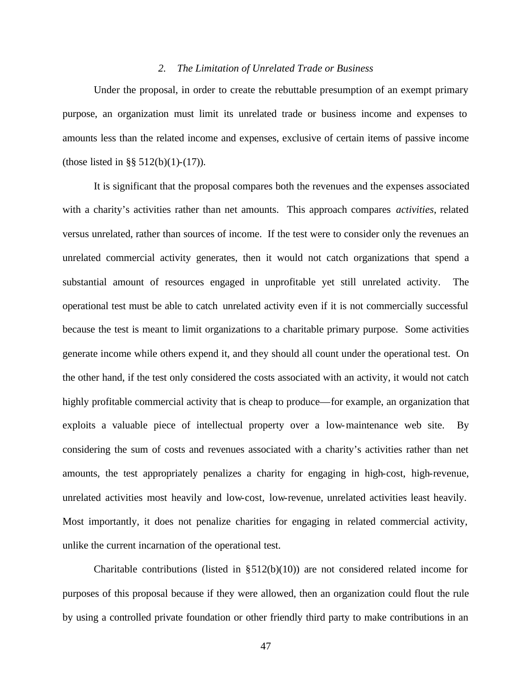#### *2. The Limitation of Unrelated Trade or Business*

Under the proposal, in order to create the rebuttable presumption of an exempt primary purpose, an organization must limit its unrelated trade or business income and expenses to amounts less than the related income and expenses, exclusive of certain items of passive income (those listed in §§ 512(b)(1)-(17)).

It is significant that the proposal compares both the revenues and the expenses associated with a charity's activities rather than net amounts. This approach compares *activities*, related versus unrelated, rather than sources of income. If the test were to consider only the revenues an unrelated commercial activity generates, then it would not catch organizations that spend a substantial amount of resources engaged in unprofitable yet still unrelated activity. The operational test must be able to catch unrelated activity even if it is not commercially successful because the test is meant to limit organizations to a charitable primary purpose. Some activities generate income while others expend it, and they should all count under the operational test. On the other hand, if the test only considered the costs associated with an activity, it would not catch highly profitable commercial activity that is cheap to produce—for example, an organization that exploits a valuable piece of intellectual property over a low-maintenance web site. By considering the sum of costs and revenues associated with a charity's activities rather than net amounts, the test appropriately penalizes a charity for engaging in high-cost, high-revenue, unrelated activities most heavily and low-cost, low-revenue, unrelated activities least heavily. Most importantly, it does not penalize charities for engaging in related commercial activity, unlike the current incarnation of the operational test.

Charitable contributions (listed in  $\S 512(b)(10)$ ) are not considered related income for purposes of this proposal because if they were allowed, then an organization could flout the rule by using a controlled private foundation or other friendly third party to make contributions in an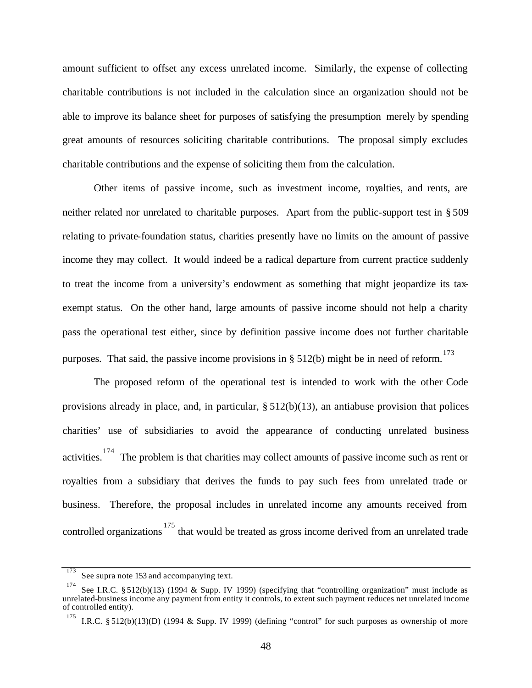amount sufficient to offset any excess unrelated income. Similarly, the expense of collecting charitable contributions is not included in the calculation since an organization should not be able to improve its balance sheet for purposes of satisfying the presumption merely by spending great amounts of resources soliciting charitable contributions. The proposal simply excludes charitable contributions and the expense of soliciting them from the calculation.

Other items of passive income, such as investment income, royalties, and rents, are neither related nor unrelated to charitable purposes. Apart from the public-support test in § 509 relating to private-foundation status, charities presently have no limits on the amount of passive income they may collect. It would indeed be a radical departure from current practice suddenly to treat the income from a university's endowment as something that might jeopardize its taxexempt status. On the other hand, large amounts of passive income should not help a charity pass the operational test either, since by definition passive income does not further charitable purposes. That said, the passive income provisions in § 512(b) might be in need of reform.<sup>173</sup>

The proposed reform of the operational test is intended to work with the other Code provisions already in place, and, in particular,  $\S 512(b)(13)$ , an antiabuse provision that polices charities' use of subsidiaries to avoid the appearance of conducting unrelated business activities.<sup>174</sup> The problem is that charities may collect amounts of passive income such as rent or royalties from a subsidiary that derives the funds to pay such fees from unrelated trade or business. Therefore, the proposal includes in unrelated income any amounts received from controlled organizations<sup>175</sup> that would be treated as gross income derived from an unrelated trade

<sup>173</sup> See supra note 153 and accompanying text.

<sup>174</sup> See I.R.C. § 512(b)(13) (1994 & Supp. IV 1999) (specifying that "controlling organization" must include as unrelated-business income any payment from entity it controls, to extent such payment reduces net unrelated income of controlled entity).

<sup>175</sup> I.R.C. § 512(b)(13)(D) (1994 & Supp. IV 1999) (defining "control" for such purposes as ownership of more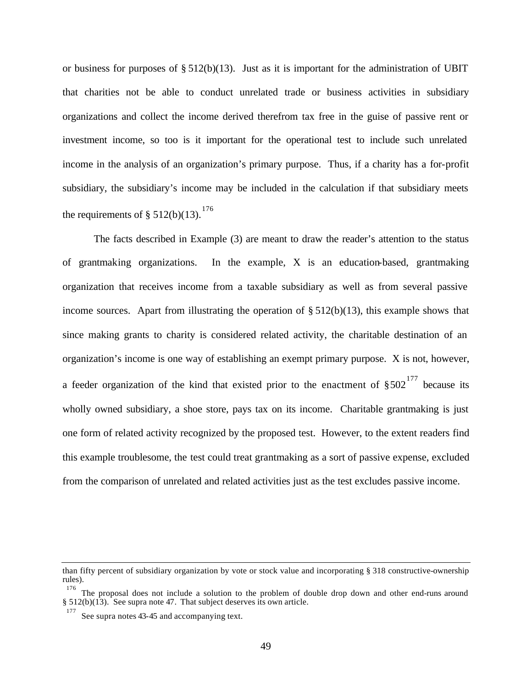or business for purposes of  $\S 512(b)(13)$ . Just as it is important for the administration of UBIT that charities not be able to conduct unrelated trade or business activities in subsidiary organizations and collect the income derived therefrom tax free in the guise of passive rent or investment income, so too is it important for the operational test to include such unrelated income in the analysis of an organization's primary purpose. Thus, if a charity has a for-profit subsidiary, the subsidiary's income may be included in the calculation if that subsidiary meets the requirements of  $\S 512(b)(13).$ <sup>176</sup>

The facts described in Example (3) are meant to draw the reader's attention to the status of grantmaking organizations. In the example, X is an education-based, grantmaking organization that receives income from a taxable subsidiary as well as from several passive income sources. Apart from illustrating the operation of  $\S 512(b)(13)$ , this example shows that since making grants to charity is considered related activity, the charitable destination of an organization's income is one way of establishing an exempt primary purpose. X is not, however, a feeder organization of the kind that existed prior to the enactment of  $\S 502^{177}$  because its wholly owned subsidiary, a shoe store, pays tax on its income. Charitable grantmaking is just one form of related activity recognized by the proposed test. However, to the extent readers find this example troublesome, the test could treat grantmaking as a sort of passive expense, excluded from the comparison of unrelated and related activities just as the test excludes passive income.

than fifty percent of subsidiary organization by vote or stock value and incorporating § 318 constructive-ownership rules).

<sup>&</sup>lt;sup>176</sup> The proposal does not include a solution to the problem of double drop down and other end-runs around § 512(b)(13). See supra note 47. That subject deserves its own article.

<sup>177</sup> See supra notes 43-45 and accompanying text.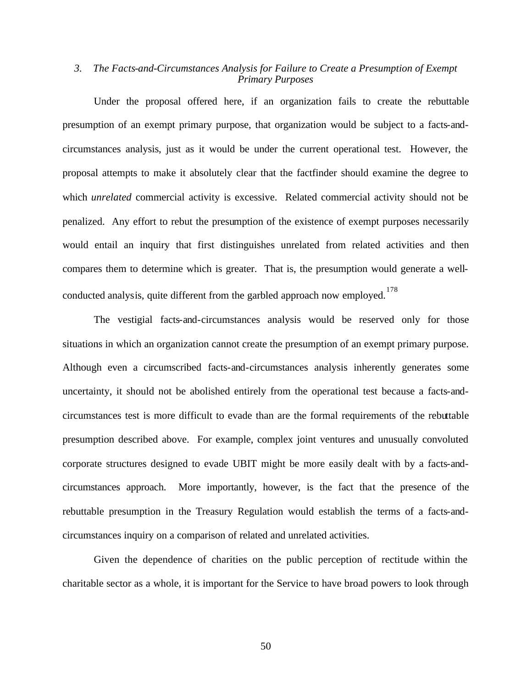### *3. The Facts-and-Circumstances Analysis for Failure to Create a Presumption of Exempt Primary Purposes*

Under the proposal offered here, if an organization fails to create the rebuttable presumption of an exempt primary purpose, that organization would be subject to a facts-andcircumstances analysis, just as it would be under the current operational test. However, the proposal attempts to make it absolutely clear that the factfinder should examine the degree to which *unrelated* commercial activity is excessive. Related commercial activity should not be penalized. Any effort to rebut the presumption of the existence of exempt purposes necessarily would entail an inquiry that first distinguishes unrelated from related activities and then compares them to determine which is greater. That is, the presumption would generate a wellconducted analysis, quite different from the garbled approach now employed. 178

The vestigial facts-and-circumstances analysis would be reserved only for those situations in which an organization cannot create the presumption of an exempt primary purpose. Although even a circumscribed facts-and-circumstances analysis inherently generates some uncertainty, it should not be abolished entirely from the operational test because a facts-andcircumstances test is more difficult to evade than are the formal requirements of the rebuttable presumption described above. For example, complex joint ventures and unusually convoluted corporate structures designed to evade UBIT might be more easily dealt with by a facts-andcircumstances approach. More importantly, however, is the fact that the presence of the rebuttable presumption in the Treasury Regulation would establish the terms of a facts-andcircumstances inquiry on a comparison of related and unrelated activities.

Given the dependence of charities on the public perception of rectitude within the charitable sector as a whole, it is important for the Service to have broad powers to look through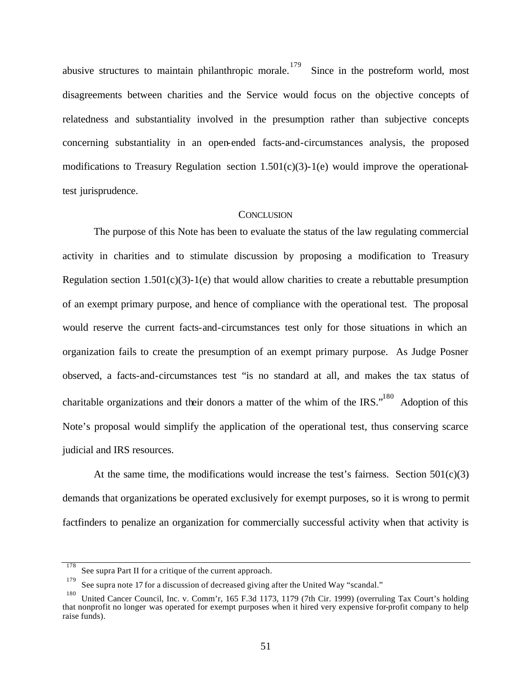abusive structures to maintain philanthropic morale.<sup>179</sup> Since in the postreform world, most disagreements between charities and the Service would focus on the objective concepts of relatedness and substantiality involved in the presumption rather than subjective concepts concerning substantiality in an open-ended facts-and-circumstances analysis, the proposed modifications to Treasury Regulation section  $1.501(c)(3)$ -1(e) would improve the operationaltest jurisprudence.

#### **CONCLUSION**

The purpose of this Note has been to evaluate the status of the law regulating commercial activity in charities and to stimulate discussion by proposing a modification to Treasury Regulation section  $1.501(c)(3)$ -1(e) that would allow charities to create a rebuttable presumption of an exempt primary purpose, and hence of compliance with the operational test. The proposal would reserve the current facts-and-circumstances test only for those situations in which an organization fails to create the presumption of an exempt primary purpose. As Judge Posner observed, a facts-and-circumstances test "is no standard at all, and makes the tax status of charitable organizations and their donors a matter of the whim of the IRS."<sup>180</sup> Adoption of this Note's proposal would simplify the application of the operational test, thus conserving scarce judicial and IRS resources.

At the same time, the modifications would increase the test's fairness. Section  $501(c)(3)$ demands that organizations be operated exclusively for exempt purposes, so it is wrong to permit factfinders to penalize an organization for commercially successful activity when that activity is

<sup>178</sup> See supra Part II for a critique of the current approach.

<sup>179</sup> See supra note 17 for a discussion of decreased giving after the United Way "scandal."

<sup>180</sup> United Cancer Council, Inc. v. Comm'r, 165 F.3d 1173, 1179 (7th Cir. 1999) (overruling Tax Court's holding that nonprofit no longer was operated for exempt purposes when it hired very expensive for-profit company to help raise funds).